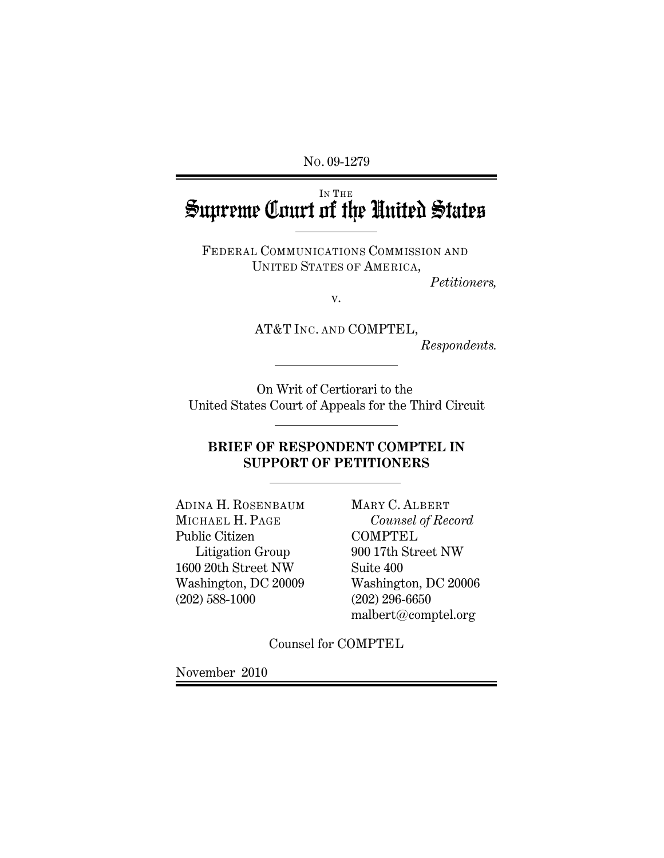NO. 09-1279

# Supreme Court of the United States

FEDERAL COMMUNICATIONS COMMISSION AND UNITED STATES OF AMERICA,

*Petitioners,*

v.

AT&T INC. AND COMPTEL,

*Respondents.*

On Writ of Certiorari to the United States Court of Appeals for the Third Circuit

l

l

l

## **BRIEF OF RESPONDENT COMPTEL IN SUPPORT OF PETITIONERS**

ADINA H. ROSENBAUM MARY C. ALBERT MICHAEL H. PAGE *Counsel of Record* Public Citizen COMPTEL 1600 20th Street NW Suite 400 Washington, DC 20009 Washington, DC 20006 (202) 588-1000 (202) 296-6650

Litigation Group 900 17th Street NW malbert@comptel.org

Counsel for COMPTEL

November 2010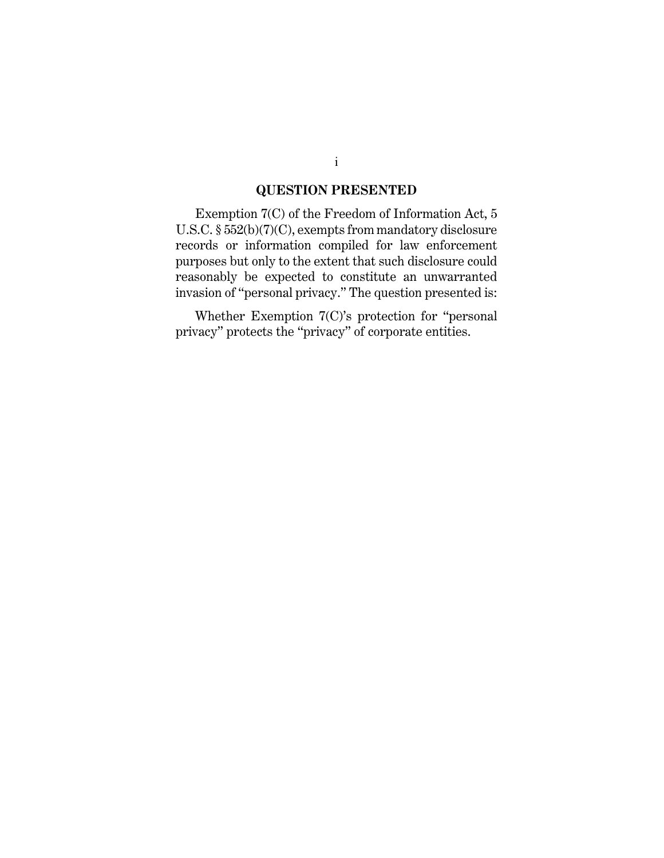#### **QUESTION PRESENTED**

Exemption 7(C) of the Freedom of Information Act, 5 U.S.C. § 552(b)(7)(C), exempts from mandatory disclosure records or information compiled for law enforcement purposes but only to the extent that such disclosure could reasonably be expected to constitute an unwarranted invasion of "personal privacy." The question presented is:

Whether Exemption 7(C)'s protection for "personal privacy" protects the "privacy" of corporate entities.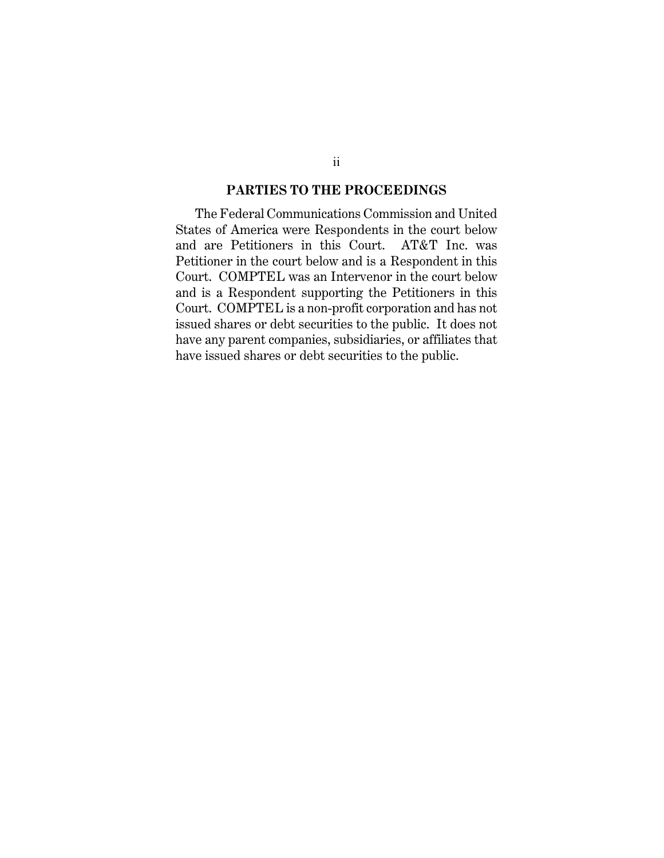#### **PARTIES TO THE PROCEEDINGS**

The Federal Communications Commission and United States of America were Respondents in the court below and are Petitioners in this Court. AT&T Inc. was Petitioner in the court below and is a Respondent in this Court. COMPTEL was an Intervenor in the court below and is a Respondent supporting the Petitioners in this Court. COMPTEL is a non-profit corporation and has not issued shares or debt securities to the public. It does not have any parent companies, subsidiaries, or affiliates that have issued shares or debt securities to the public.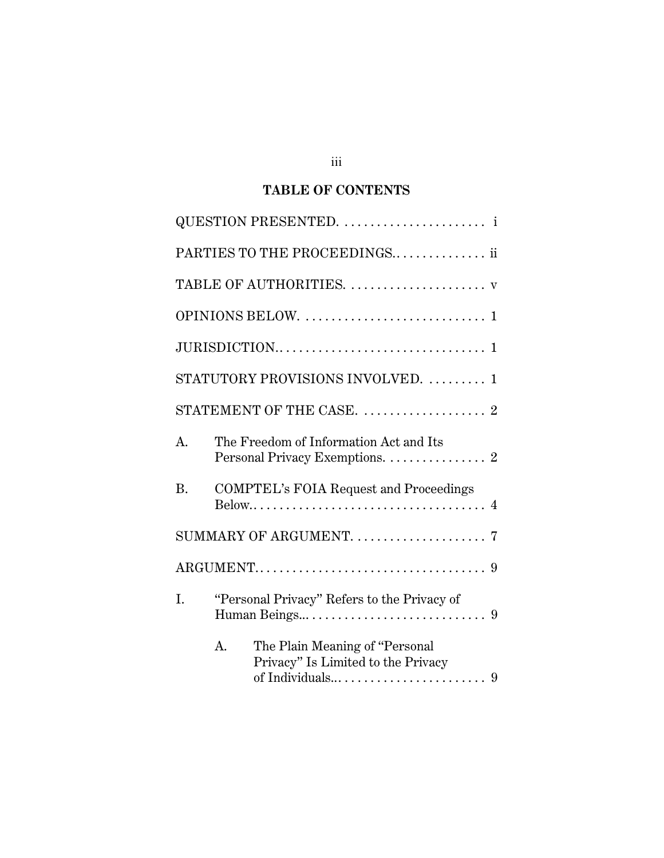# **TABLE OF CONTENTS**

|                | PARTIES TO THE PROCEEDINGS ii                                              |
|----------------|----------------------------------------------------------------------------|
|                | TABLE OF AUTHORITIES.  v                                                   |
|                |                                                                            |
|                |                                                                            |
|                | STATUTORY PROVISIONS INVOLVED.  1                                          |
|                |                                                                            |
| A <sub>1</sub> | The Freedom of Information Act and Its<br>Personal Privacy Exemptions. 2   |
| <b>B.</b>      | <b>COMPTEL's FOIA Request and Proceedings</b>                              |
|                | SUMMARY OF ARGUMENT.  7                                                    |
|                |                                                                            |
| I.             | "Personal Privacy" Refers to the Privacy of                                |
|                | The Plain Meaning of "Personal<br>A.<br>Privacy" Is Limited to the Privacy |

iii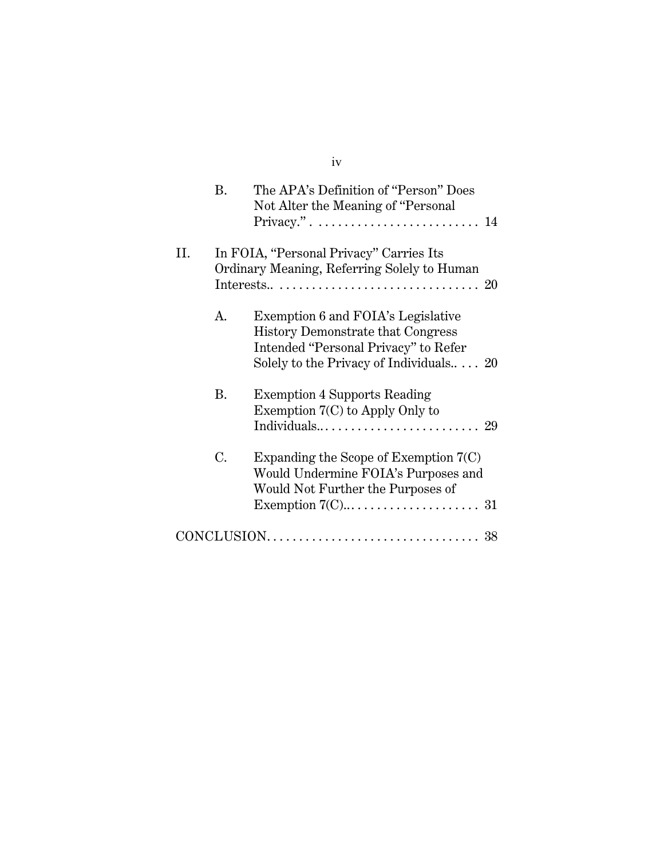|    | <b>B.</b> | The APA's Definition of "Person" Does<br>Not Alter the Meaning of "Personal"<br>Privacy.". $\dots \dots \dots \dots \dots \dots \dots \dots \dots \dots \dots 14$ |  |
|----|-----------|-------------------------------------------------------------------------------------------------------------------------------------------------------------------|--|
| Η. |           | In FOIA, "Personal Privacy" Carries Its<br>Ordinary Meaning, Referring Solely to Human                                                                            |  |
|    | A.        | Exemption 6 and FOIA's Legislative<br><b>History Demonstrate that Congress</b><br>Intended "Personal Privacy" to Refer<br>Solely to the Privacy of Individuals 20 |  |
|    | B.        | <b>Exemption 4 Supports Reading</b><br>Exemption $7(C)$ to Apply Only to                                                                                          |  |
|    | C.        | Expanding the Scope of Exemption $7(C)$<br>Would Undermine FOIA's Purposes and<br>Would Not Further the Purposes of                                               |  |
|    |           |                                                                                                                                                                   |  |

## iv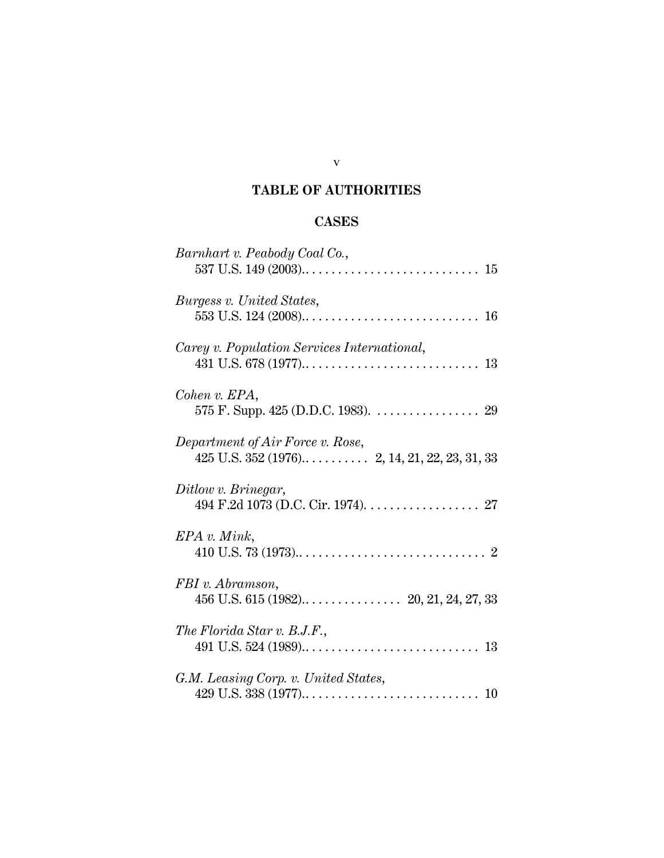## **TABLE OF AUTHORITIES**

## **CASES**

| Barnhart v. Peabody Coal Co.,               |
|---------------------------------------------|
| Burgess v. United States,                   |
| Carey v. Population Services International, |
| Cohen v. EPA,                               |
| Department of Air Force v. Rose,            |
| Ditlow v. Brinegar,                         |
| $EPA$ v. Mink,                              |
| FBI v. Abramson,                            |
| The Florida Star v. B.J.F.,                 |
| G.M. Leasing Corp. v. United States,        |

#### v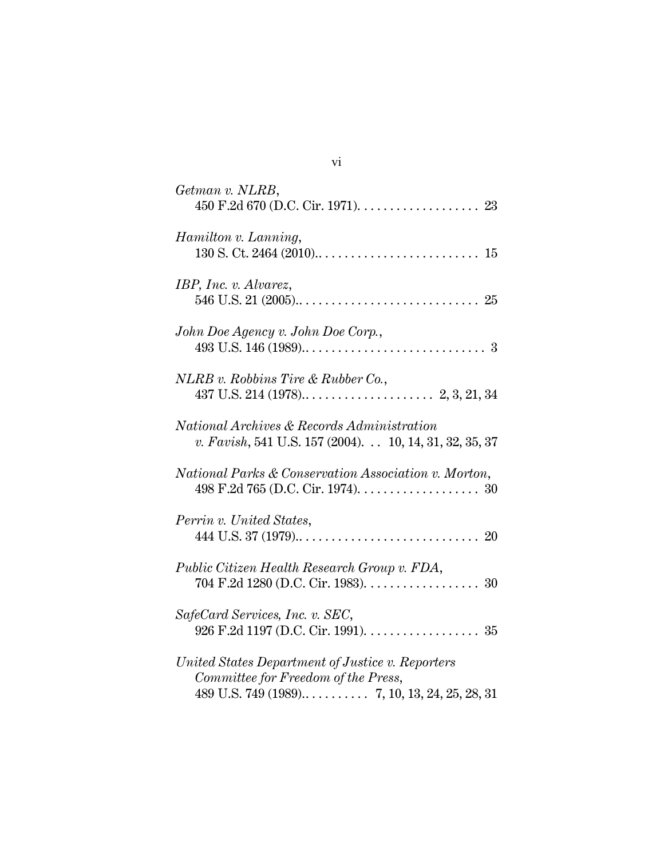| Getman v. NLRB,                                                                                                 |
|-----------------------------------------------------------------------------------------------------------------|
| Hamilton v. Lanning,                                                                                            |
| IBP, Inc. v. Alvarez,                                                                                           |
| John Doe Agency v. John Doe Corp.,                                                                              |
| NLRB v. Robbins Tire & Rubber Co.,                                                                              |
| <i>National Archives &amp; Records Administration</i><br>v. Favish, 541 U.S. 157 (2004). 10, 14, 31, 32, 35, 37 |
| National Parks & Conservation Association v. Morton,<br>498 F.2d 765 (D.C. Cir. 1974). $\dots$ . 30             |
| Perrin v. United States,                                                                                        |
| Public Citizen Health Research Group v. FDA,<br>704 F.2d 1280 (D.C. Cir. 1983). 30                              |
| SafeCard Services, Inc. v. SEC,<br>926 F.2d 1197 (D.C. Cir. 1991). 35                                           |
| United States Department of Justice v. Reporters<br>Committee for Freedom of the Press,                         |

vi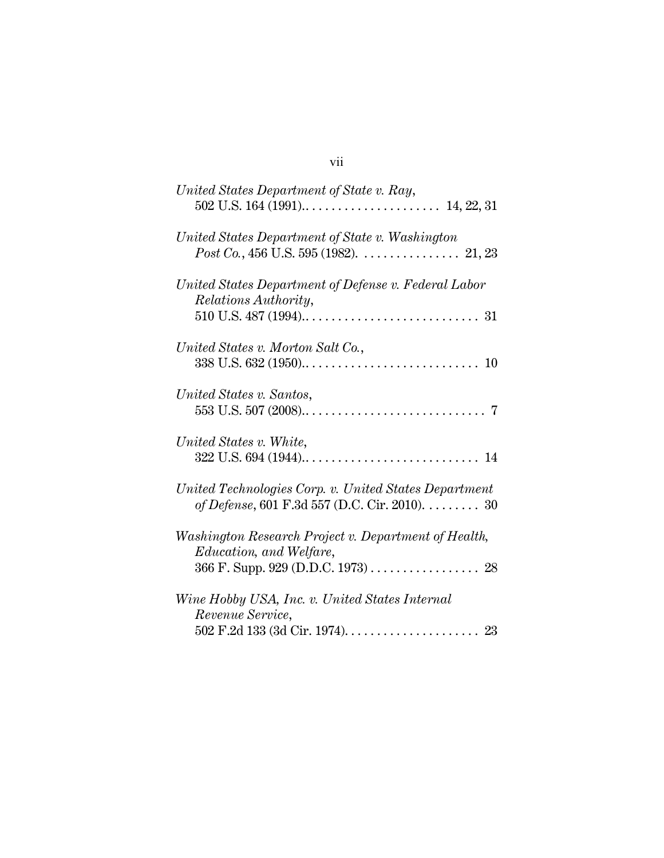| United States Department of State v. Ray,                                                                                   |
|-----------------------------------------------------------------------------------------------------------------------------|
| United States Department of State v. Washington                                                                             |
| United States Department of Defense v. Federal Labor<br>Relations Authority,                                                |
| United States v. Morton Salt Co.,                                                                                           |
| United States v. Santos,                                                                                                    |
| United States v. White,                                                                                                     |
| United Technologies Corp. v. United States Department<br>of Defense, 601 F.3d 557 (D.C. Cir. 2010). 30                      |
| Washington Research Project v. Department of Health,<br><i>Education, and Welfare,</i><br>366 F. Supp. 929 (D.D.C. 1973) 28 |
| Wine Hobby USA, Inc. v. United States Internal                                                                              |
| Revenue Service,                                                                                                            |

#### vii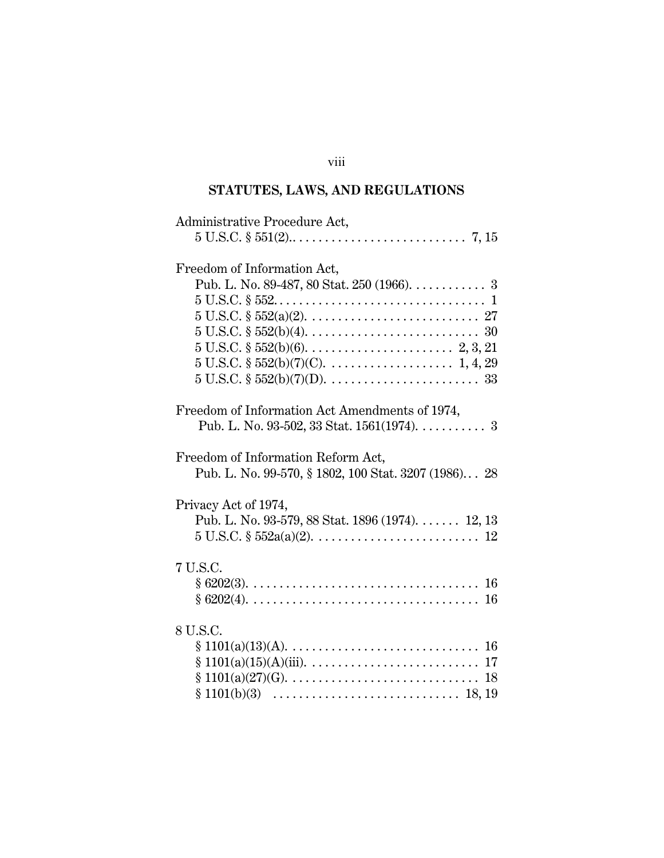## viii

# **STATUTES, LAWS, AND REGULATIONS**

| Administrative Procedure Act,                                                                       |
|-----------------------------------------------------------------------------------------------------|
|                                                                                                     |
| Freedom of Information Act,                                                                         |
| Pub. L. No. 89-487, 80 Stat. 250 (1966). 3                                                          |
|                                                                                                     |
|                                                                                                     |
|                                                                                                     |
|                                                                                                     |
|                                                                                                     |
|                                                                                                     |
| Freedom of Information Act Amendments of 1974,                                                      |
| Pub. L. No. 93-502, 33 Stat. 1561(1974). 3                                                          |
| Freedom of Information Reform Act,                                                                  |
| Pub. L. No. 99-570, § 1802, 100 Stat. 3207 (1986) 28                                                |
| Privacy Act of 1974,                                                                                |
| Pub. L. No. 93-579, 88 Stat. 1896 (1974). $\dots$ 12, 13                                            |
| $5 \text{ U.S.C. } \S 552a(a)(2), \ldots, \ldots, \ldots, \ldots, \ldots, 12$                       |
| 7 U.S.C.                                                                                            |
|                                                                                                     |
|                                                                                                     |
| 8 U.S.C.                                                                                            |
| $§ 1101(a)(13)(A). \ldots \ldots \ldots \ldots \ldots \ldots \ldots \ldots \ldots \ldots \ldots 16$ |
|                                                                                                     |
|                                                                                                     |
|                                                                                                     |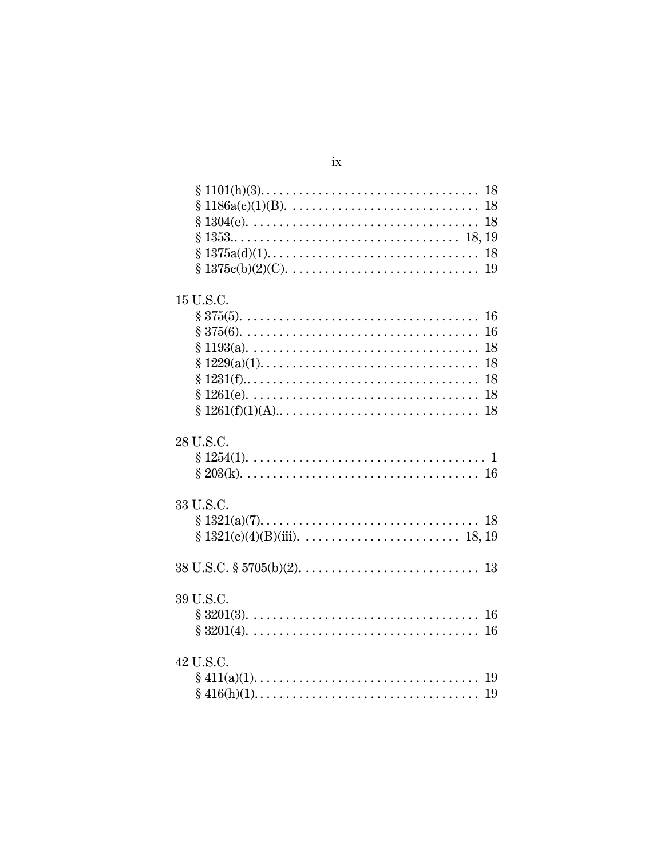| 15 U.S.C.                                                                                                |
|----------------------------------------------------------------------------------------------------------|
|                                                                                                          |
|                                                                                                          |
|                                                                                                          |
| 18<br>$\S 1229(a)(1)$                                                                                    |
| 18                                                                                                       |
|                                                                                                          |
| 18<br>$§ 1261(f)(1)(A)$                                                                                  |
| 28 U.S.C.<br>$§ 1254(1). \ldots \ldots \ldots \ldots \ldots \ldots \ldots \ldots \ldots \ldots \ldots 1$ |
| 33 U.S.C.                                                                                                |
|                                                                                                          |
|                                                                                                          |
|                                                                                                          |
|                                                                                                          |
| 39 U.S.C.                                                                                                |
|                                                                                                          |
| 42 U.S.C.                                                                                                |
|                                                                                                          |
|                                                                                                          |

## $ix$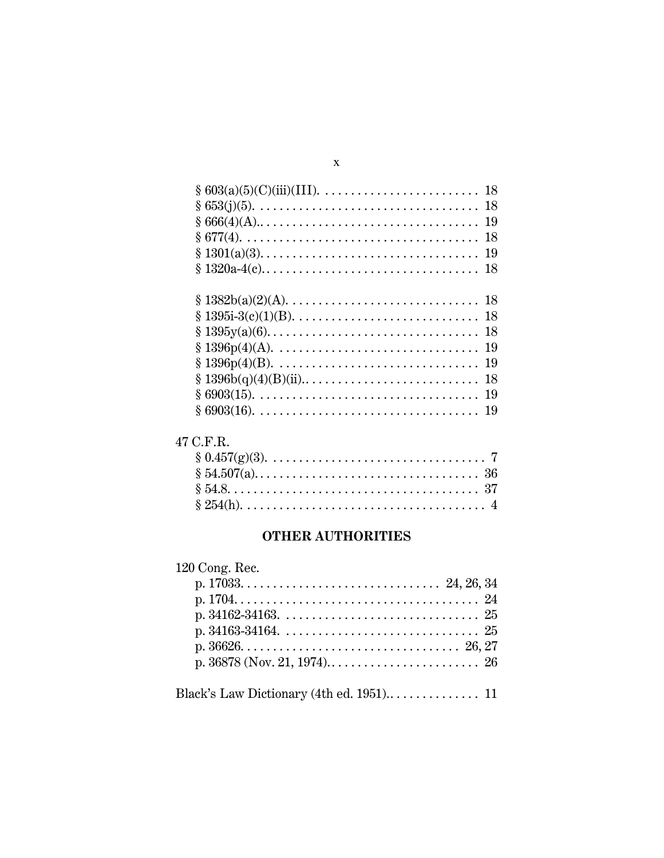| $§ 1396p(4) (A). \ldots \ldots \ldots \ldots \ldots \ldots \ldots \ldots \ldots \ldots \ldots 19$ |  |
|---------------------------------------------------------------------------------------------------|--|
|                                                                                                   |  |
|                                                                                                   |  |
|                                                                                                   |  |
|                                                                                                   |  |
|                                                                                                   |  |

## 47 C.F.R.

## **OTHER AUTHORITIES**

## 120 Cong. Rec.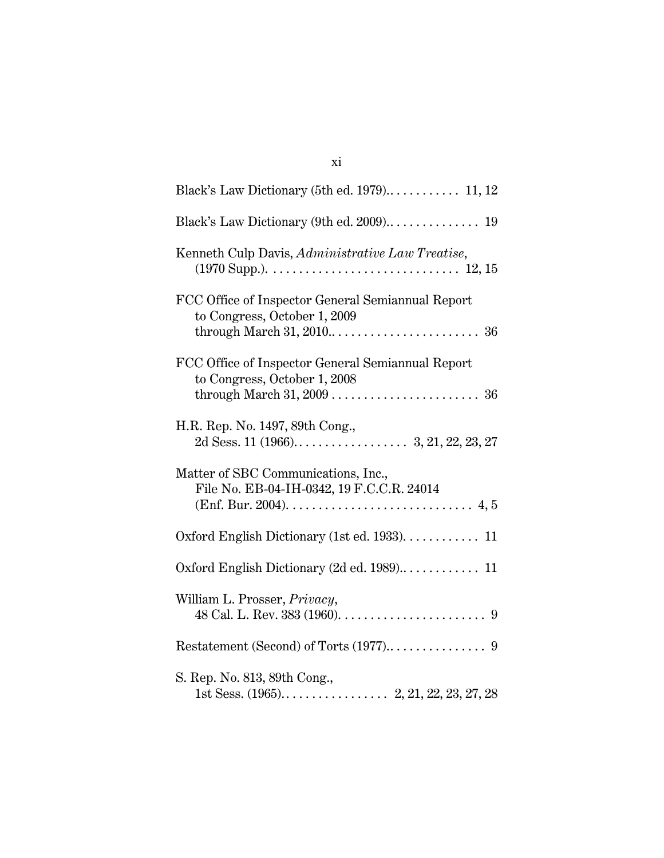| Kenneth Culp Davis, Administrative Law Treatise,                                  |
|-----------------------------------------------------------------------------------|
| FCC Office of Inspector General Semiannual Report<br>to Congress, October 1, 2009 |
| FCC Office of Inspector General Semiannual Report<br>to Congress, October 1, 2008 |
| H.R. Rep. No. 1497, 89th Cong.,                                                   |
| Matter of SBC Communications, Inc.,<br>File No. EB-04-IH-0342, 19 F.C.C.R. 24014  |
| Oxford English Dictionary (1st ed. 1933). 11                                      |
|                                                                                   |
| William L. Prosser, Privacy,                                                      |
|                                                                                   |
| S. Rep. No. 813, 89th Cong.,                                                      |

xi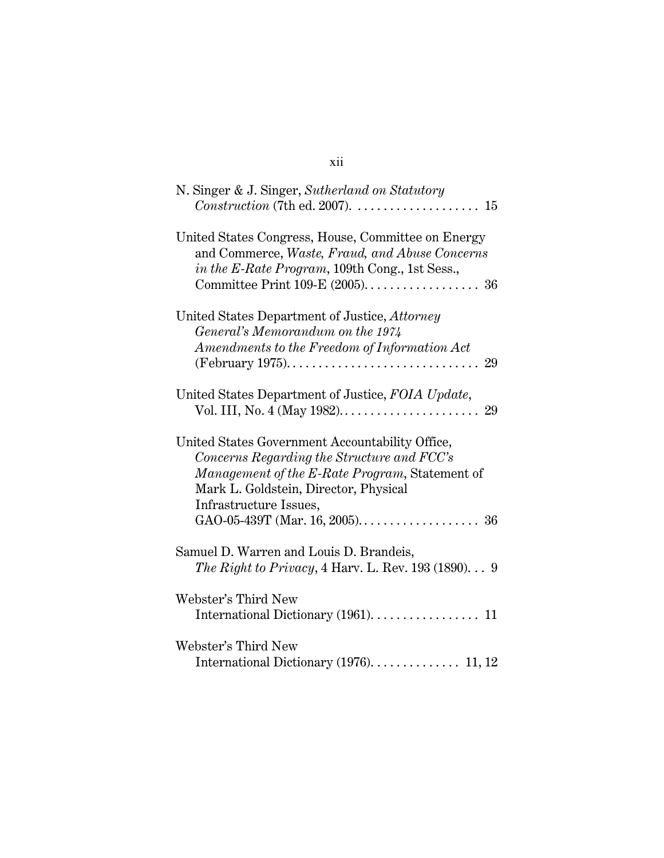| N. Singer & J. Singer, Sutherland on Statutory                                                                                                                                                                     |
|--------------------------------------------------------------------------------------------------------------------------------------------------------------------------------------------------------------------|
| United States Congress, House, Committee on Energy<br>and Commerce, Waste, Fraud, and Abuse Concerns<br>in the E-Rate Program, 109th Cong., 1st Sess.,                                                             |
| United States Department of Justice, Attorney<br>General's Memorandum on the 1974<br>Amendments to the Freedom of Information Act<br>29                                                                            |
| United States Department of Justice, FOIA Update,<br>29                                                                                                                                                            |
| United States Government Accountability Office,<br>Concerns Regarding the Structure and FCC's<br>Management of the E-Rate Program, Statement of<br>Mark L. Goldstein, Director, Physical<br>Infrastructure Issues, |
| Samuel D. Warren and Louis D. Brandeis,<br>The Right to Privacy, 4 Harv. L. Rev. 193 (1890) $9$                                                                                                                    |
| Webster's Third New<br>International Dictionary (1961). 11                                                                                                                                                         |
| Webster's Third New<br>International Dictionary (1976).  11, 12                                                                                                                                                    |

## xii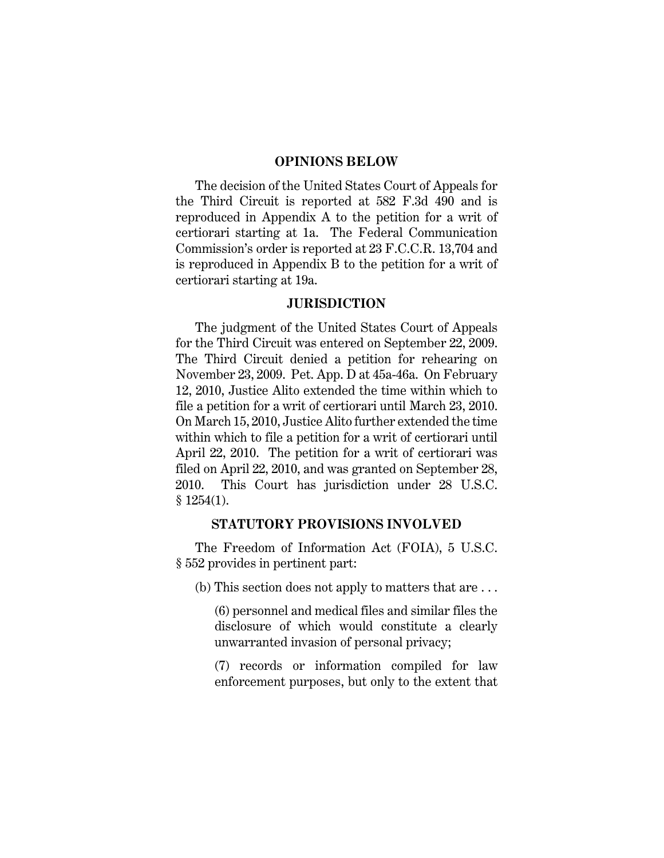#### **OPINIONS BELOW**

The decision of the United States Court of Appeals for the Third Circuit is reported at 582 F.3d 490 and is reproduced in Appendix A to the petition for a writ of certiorari starting at 1a. The Federal Communication Commission's order is reported at 23 F.C.C.R. 13,704 and is reproduced in Appendix B to the petition for a writ of certiorari starting at 19a.

#### **JURISDICTION**

The judgment of the United States Court of Appeals for the Third Circuit was entered on September 22, 2009. The Third Circuit denied a petition for rehearing on November 23, 2009. Pet. App. D at 45a-46a. On February 12, 2010, Justice Alito extended the time within which to file a petition for a writ of certiorari until March 23, 2010. On March 15, 2010, Justice Alito further extended the time within which to file a petition for a writ of certiorari until April 22, 2010. The petition for a writ of certiorari was filed on April 22, 2010, and was granted on September 28, 2010. This Court has jurisdiction under 28 U.S.C. § 1254(1).

#### **STATUTORY PROVISIONS INVOLVED**

The Freedom of Information Act (FOIA), 5 U.S.C. § 552 provides in pertinent part:

(b) This section does not apply to matters that are . . .

(6) personnel and medical files and similar files the disclosure of which would constitute a clearly unwarranted invasion of personal privacy;

(7) records or information compiled for law enforcement purposes, but only to the extent that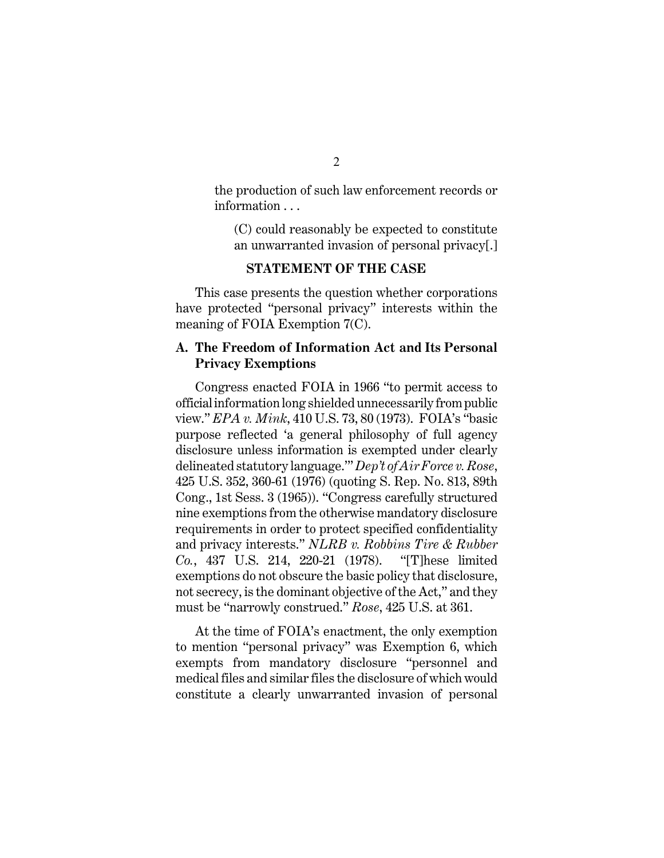the production of such law enforcement records or information . . .

(C) could reasonably be expected to constitute an unwarranted invasion of personal privacy[.]

#### **STATEMENT OF THE CASE**

This case presents the question whether corporations have protected "personal privacy" interests within the meaning of FOIA Exemption 7(C).

#### **A. The Freedom of Information Act and Its Personal Privacy Exemptions**

Congress enacted FOIA in 1966 "to permit access to official information long shielded unnecessarily from public view." *EPA v. Mink*, 410 U.S. 73, 80 (1973). FOIA's "basic purpose reflected 'a general philosophy of full agency disclosure unless information is exempted under clearly delineated statutory language.'" *Dep't of Air Force v. Rose*, 425 U.S. 352, 360-61 (1976) (quoting S. Rep. No. 813, 89th Cong., 1st Sess. 3 (1965)). "Congress carefully structured nine exemptions from the otherwise mandatory disclosure requirements in order to protect specified confidentiality and privacy interests." *NLRB v. Robbins Tire & Rubber Co.*, 437 U.S. 214, 220-21 (1978). "[T]hese limited exemptions do not obscure the basic policy that disclosure, not secrecy, is the dominant objective of the Act," and they must be "narrowly construed." *Rose*, 425 U.S. at 361.

At the time of FOIA's enactment, the only exemption to mention "personal privacy" was Exemption 6, which exempts from mandatory disclosure "personnel and medical files and similar files the disclosure of which would constitute a clearly unwarranted invasion of personal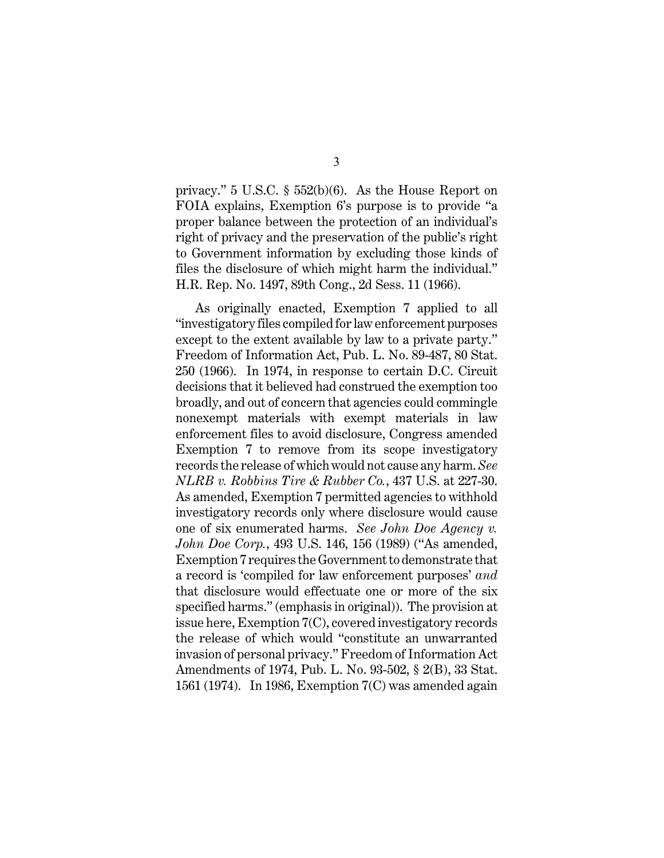privacy." 5 U.S.C. § 552(b)(6). As the House Report on FOIA explains, Exemption 6's purpose is to provide "a proper balance between the protection of an individual's right of privacy and the preservation of the public's right to Government information by excluding those kinds of files the disclosure of which might harm the individual." H.R. Rep. No. 1497, 89th Cong., 2d Sess. 11 (1966).

As originally enacted, Exemption 7 applied to all "investigatory files compiled for law enforcement purposes except to the extent available by law to a private party." Freedom of Information Act, Pub. L. No. 89-487, 80 Stat. 250 (1966). In 1974, in response to certain D.C. Circuit decisions that it believed had construed the exemption too broadly, and out of concern that agencies could commingle nonexempt materials with exempt materials in law enforcement files to avoid disclosure, Congress amended Exemption 7 to remove from its scope investigatory records the release of which would not cause any harm. *See NLRB v. Robbins Tire & Rubber Co.*, 437 U.S. at 227-30. As amended, Exemption 7 permitted agencies to withhold investigatory records only where disclosure would cause one of six enumerated harms. *See John Doe Agency v. John Doe Corp.*, 493 U.S. 146, 156 (1989) ("As amended, Exemption 7 requires the Government to demonstrate that a record is 'compiled for law enforcement purposes' *and* that disclosure would effectuate one or more of the six specified harms." (emphasis in original)). The provision at issue here, Exemption 7(C), covered investigatory records the release of which would "constitute an unwarranted invasion of personal privacy." Freedom of Information Act Amendments of 1974, Pub. L. No. 93-502, § 2(B), 33 Stat. 1561 (1974). In 1986, Exemption 7(C) was amended again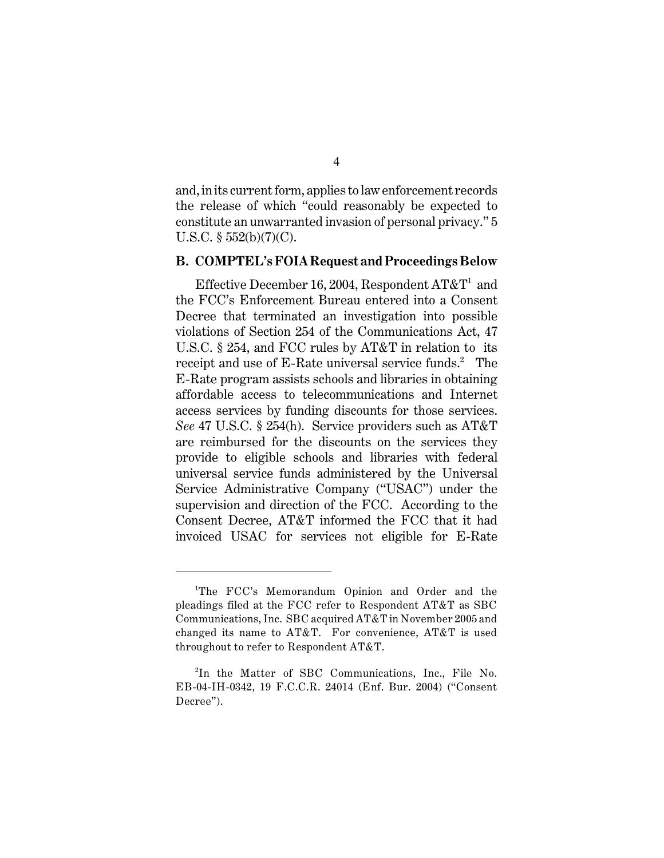and, in its current form, applies to law enforcement records the release of which "could reasonably be expected to constitute an unwarranted invasion of personal privacy." 5 U.S.C.  $\S$  552(b)(7)(C).

#### **B. COMPTEL's FOIA Request and Proceedings Below**

Effective December 16, 2004, Respondent  $AT\&T<sup>1</sup>$  and the FCC's Enforcement Bureau entered into a Consent Decree that terminated an investigation into possible violations of Section 254 of the Communications Act, 47 U.S.C. § 254, and FCC rules by AT&T in relation to its receipt and use of E-Rate universal service funds.<sup>2</sup> The E-Rate program assists schools and libraries in obtaining affordable access to telecommunications and Internet access services by funding discounts for those services. *See* 47 U.S.C. § 254(h). Service providers such as AT&T are reimbursed for the discounts on the services they provide to eligible schools and libraries with federal universal service funds administered by the Universal Service Administrative Company ("USAC") under the supervision and direction of the FCC. According to the Consent Decree, AT&T informed the FCC that it had invoiced USAC for services not eligible for E-Rate

<sup>&</sup>lt;sup>1</sup>The FCC's Memorandum Opinion and Order and the pleadings filed at the FCC refer to Respondent AT&T as SBC Communications, Inc. SBC acquired AT&T in November 2005 and changed its name to AT&T. For convenience, AT&T is used throughout to refer to Respondent AT&T.

 ${}^{2}$ In the Matter of SBC Communications, Inc., File No. EB-04-IH-0342, 19 F.C.C.R. 24014 (Enf. Bur. 2004) ("Consent Decree").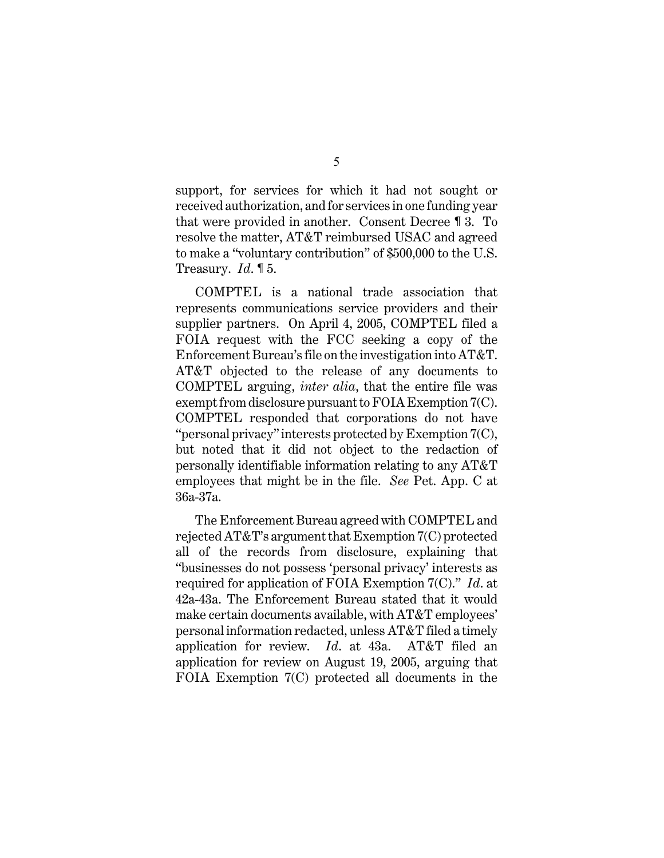support, for services for which it had not sought or received authorization, and for services in one funding year that were provided in another. Consent Decree ¶ 3. To resolve the matter, AT&T reimbursed USAC and agreed to make a "voluntary contribution" of \$500,000 to the U.S. Treasury. *Id*. ¶ 5.

COMPTEL is a national trade association that represents communications service providers and their supplier partners. On April 4, 2005, COMPTEL filed a FOIA request with the FCC seeking a copy of the Enforcement Bureau's file on the investigation into AT&T. AT&T objected to the release of any documents to COMPTEL arguing, *inter alia*, that the entire file was exempt from disclosure pursuant to FOIA Exemption 7(C). COMPTEL responded that corporations do not have "personal privacy" interests protected by Exemption 7(C), but noted that it did not object to the redaction of personally identifiable information relating to any AT&T employees that might be in the file. *See* Pet. App. C at 36a-37a.

The Enforcement Bureau agreed with COMPTEL and rejected AT&T's argument that Exemption 7(C) protected all of the records from disclosure, explaining that "businesses do not possess 'personal privacy' interests as required for application of FOIA Exemption 7(C)." *Id*. at 42a-43a. The Enforcement Bureau stated that it would make certain documents available, with AT&T employees' personal information redacted, unless AT&T filed a timely application for review. *Id*. at 43a. AT&T filed an application for review on August 19, 2005, arguing that FOIA Exemption 7(C) protected all documents in the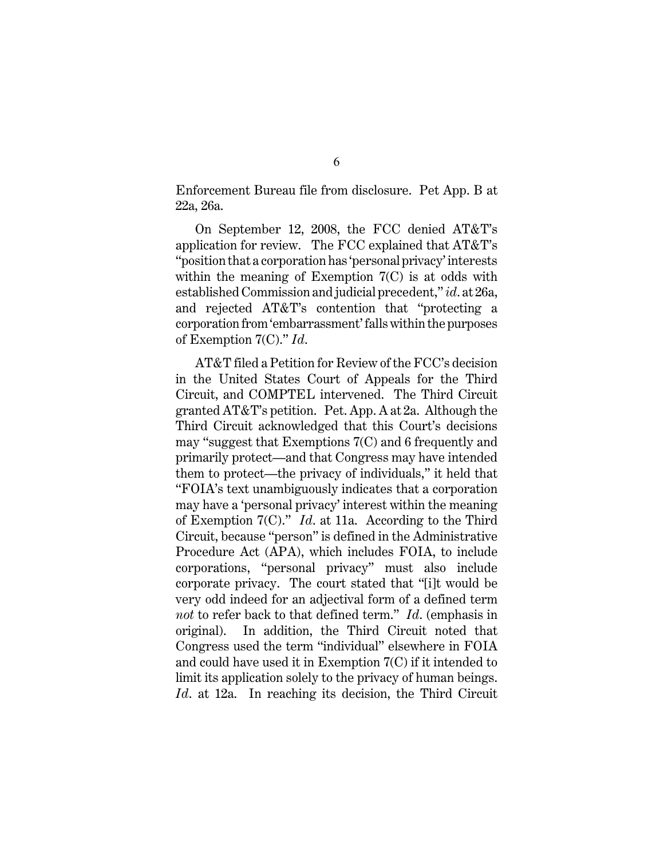Enforcement Bureau file from disclosure. Pet App. B at 22a, 26a.

On September 12, 2008, the FCC denied AT&T's application for review. The FCC explained that AT&T's "position that a corporation has 'personal privacy' interests within the meaning of Exemption 7(C) is at odds with established Commission and judicial precedent," *id*. at 26a, and rejected AT&T's contention that "protecting a corporation from 'embarrassment' falls within the purposes of Exemption 7(C)." *Id*.

AT&T filed a Petition for Review of the FCC's decision in the United States Court of Appeals for the Third Circuit, and COMPTEL intervened. The Third Circuit granted AT&T's petition. Pet. App. A at 2a. Although the Third Circuit acknowledged that this Court's decisions may "suggest that Exemptions 7(C) and 6 frequently and primarily protect—and that Congress may have intended them to protect—the privacy of individuals," it held that "FOIA's text unambiguously indicates that a corporation may have a 'personal privacy' interest within the meaning of Exemption 7(C)." *Id*. at 11a. According to the Third Circuit, because "person" is defined in the Administrative Procedure Act (APA), which includes FOIA, to include corporations, "personal privacy" must also include corporate privacy. The court stated that "[i]t would be very odd indeed for an adjectival form of a defined term *not* to refer back to that defined term." *Id*. (emphasis in original). In addition, the Third Circuit noted that Congress used the term "individual" elsewhere in FOIA and could have used it in Exemption 7(C) if it intended to limit its application solely to the privacy of human beings. *Id*. at 12a. In reaching its decision, the Third Circuit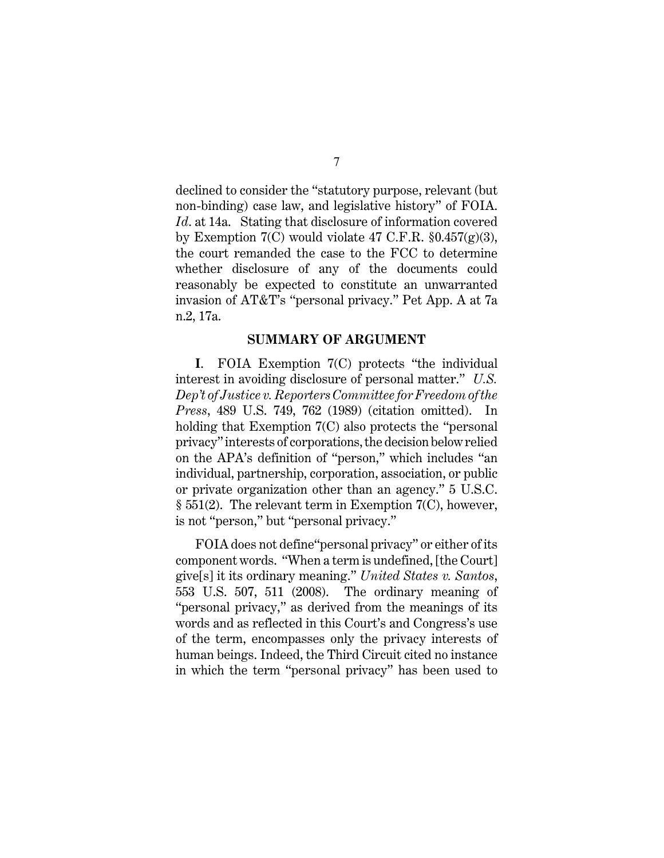declined to consider the "statutory purpose, relevant (but non-binding) case law, and legislative history" of FOIA. *Id*. at 14a. Stating that disclosure of information covered by Exemption 7(C) would violate 47 C.F.R.  $\S 0.457(g)(3)$ , the court remanded the case to the FCC to determine whether disclosure of any of the documents could reasonably be expected to constitute an unwarranted invasion of AT&T's "personal privacy." Pet App. A at 7a n.2, 17a.

#### **SUMMARY OF ARGUMENT**

**I**. FOIA Exemption 7(C) protects "the individual interest in avoiding disclosure of personal matter." *U.S. Dep't of Justice v. Reporters Committee for Freedom of the Press*, 489 U.S. 749, 762 (1989) (citation omitted). In holding that Exemption 7(C) also protects the "personal privacy" interests of corporations, the decision below relied on the APA's definition of "person," which includes "an individual, partnership, corporation, association, or public or private organization other than an agency." 5 U.S.C. § 551(2). The relevant term in Exemption 7(C), however, is not "person," but "personal privacy."

FOIA does not define"personal privacy" or either of its component words. "When a term is undefined, [the Court] give[s] it its ordinary meaning." *United States v. Santos*, 553 U.S. 507, 511 (2008). The ordinary meaning of "personal privacy," as derived from the meanings of its words and as reflected in this Court's and Congress's use of the term, encompasses only the privacy interests of human beings. Indeed, the Third Circuit cited no instance in which the term "personal privacy" has been used to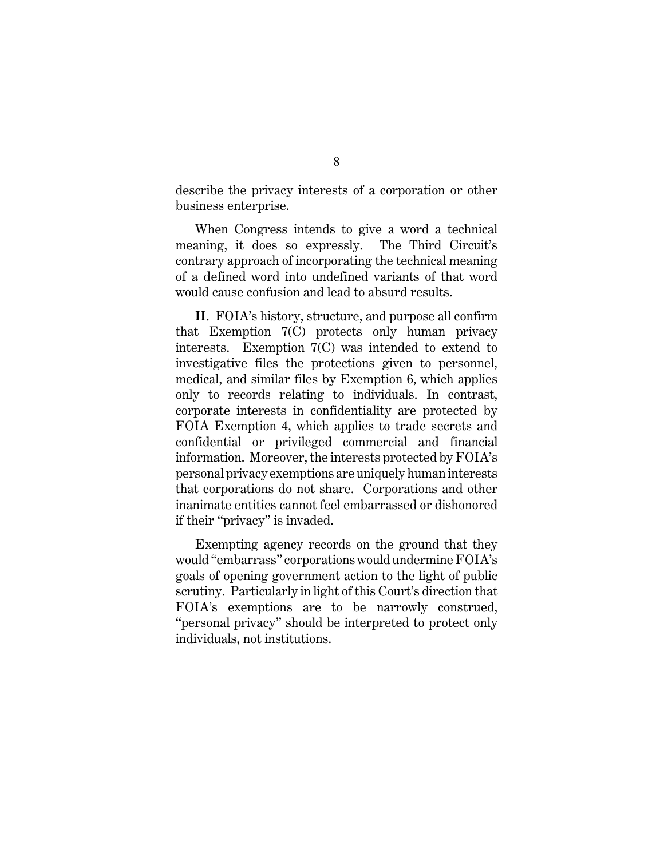describe the privacy interests of a corporation or other business enterprise.

When Congress intends to give a word a technical meaning, it does so expressly. The Third Circuit's contrary approach of incorporating the technical meaning of a defined word into undefined variants of that word would cause confusion and lead to absurd results.

**II**. FOIA's history, structure, and purpose all confirm that Exemption 7(C) protects only human privacy interests. Exemption 7(C) was intended to extend to investigative files the protections given to personnel, medical, and similar files by Exemption 6, which applies only to records relating to individuals. In contrast, corporate interests in confidentiality are protected by FOIA Exemption 4, which applies to trade secrets and confidential or privileged commercial and financial information. Moreover, the interests protected by FOIA's personal privacy exemptions are uniquely human interests that corporations do not share. Corporations and other inanimate entities cannot feel embarrassed or dishonored if their "privacy" is invaded.

Exempting agency records on the ground that they would "embarrass" corporations would undermine FOIA's goals of opening government action to the light of public scrutiny. Particularly in light of this Court's direction that FOIA's exemptions are to be narrowly construed, "personal privacy" should be interpreted to protect only individuals, not institutions.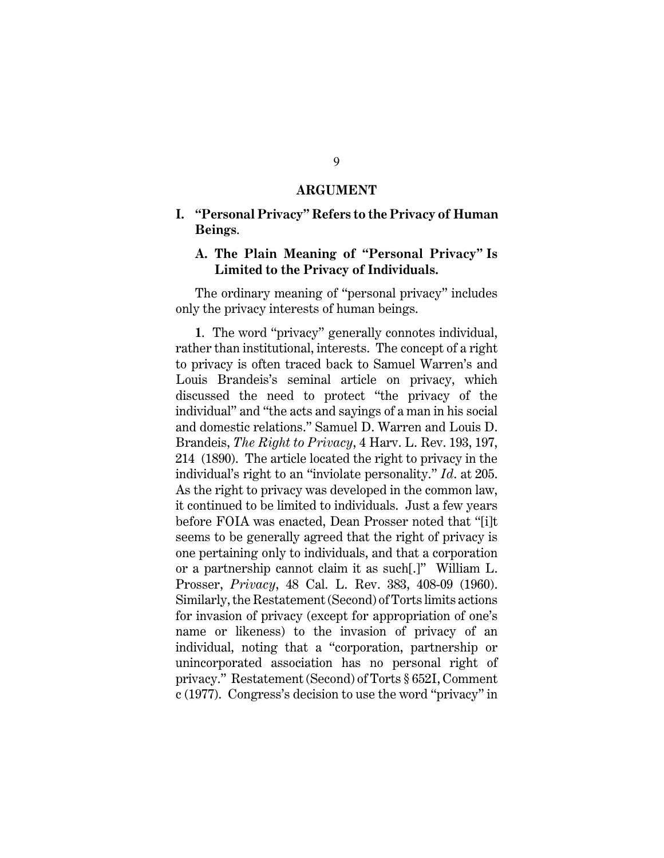#### **ARGUMENT**

#### **I. "Personal Privacy" Refers to the Privacy of Human Beings**.

#### **A. The Plain Meaning of "Personal Privacy" Is Limited to the Privacy of Individuals.**

The ordinary meaning of "personal privacy" includes only the privacy interests of human beings.

**1**. The word "privacy" generally connotes individual, rather than institutional, interests. The concept of a right to privacy is often traced back to Samuel Warren's and Louis Brandeis's seminal article on privacy, which discussed the need to protect "the privacy of the individual" and "the acts and sayings of a man in his social and domestic relations." Samuel D. Warren and Louis D. Brandeis, *The Right to Privacy*, 4 Harv. L. Rev. 193, 197, 214 (1890). The article located the right to privacy in the individual's right to an "inviolate personality." *Id*. at 205. As the right to privacy was developed in the common law, it continued to be limited to individuals. Just a few years before FOIA was enacted, Dean Prosser noted that "[i]t seems to be generally agreed that the right of privacy is one pertaining only to individuals, and that a corporation or a partnership cannot claim it as such[.]" William L. Prosser, *Privacy*, 48 Cal. L. Rev. 383, 408-09 (1960). Similarly, the Restatement (Second) of Torts limits actions for invasion of privacy (except for appropriation of one's name or likeness) to the invasion of privacy of an individual, noting that a "corporation, partnership or unincorporated association has no personal right of privacy." Restatement (Second) of Torts § 652I, Comment c (1977). Congress's decision to use the word "privacy" in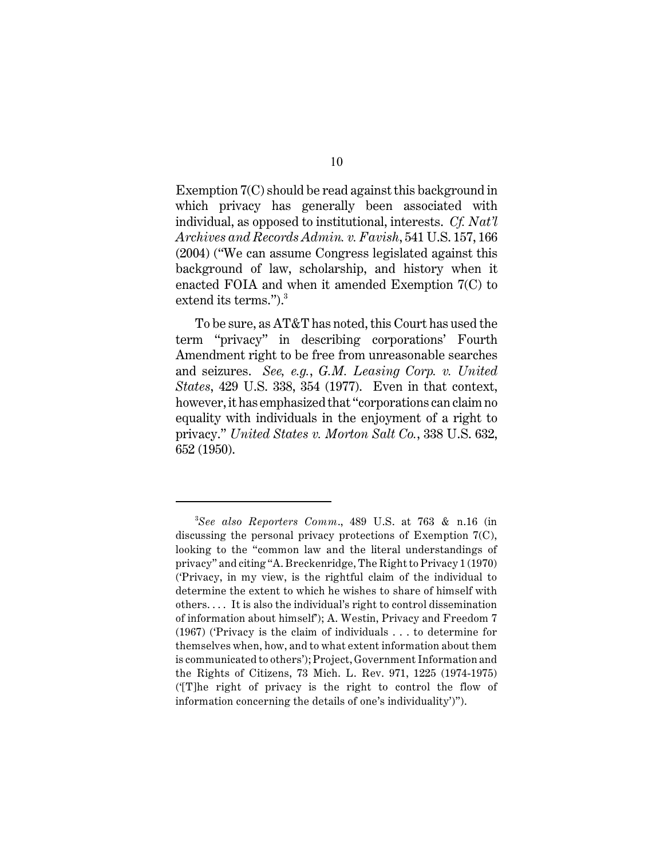Exemption 7(C) should be read against this background in which privacy has generally been associated with individual, as opposed to institutional, interests. *Cf. Nat'l Archives and Records Admin. v. Favish*, 541 U.S. 157, 166 (2004) ("We can assume Congress legislated against this background of law, scholarship, and history when it enacted FOIA and when it amended Exemption 7(C) to extend its terms.").<sup>3</sup>

To be sure, as AT&T has noted, this Court has used the term "privacy" in describing corporations' Fourth Amendment right to be free from unreasonable searches and seizures. *See, e.g.*, *G.M. Leasing Corp. v. United States*, 429 U.S. 338, 354 (1977). Even in that context, however, it has emphasized that "corporations can claim no equality with individuals in the enjoyment of a right to privacy." *United States v. Morton Salt Co.*, 338 U.S. 632, 652 (1950).

*See also Reporters Comm*., 489 U.S. at 763 & n.16 (in <sup>3</sup> discussing the personal privacy protections of Exemption 7(C), looking to the "common law and the literal understandings of privacy" and citing "A. Breckenridge, The Right to Privacy 1 (1970) ('Privacy, in my view, is the rightful claim of the individual to determine the extent to which he wishes to share of himself with others. . . . It is also the individual's right to control dissemination of information about himself'); A. Westin, Privacy and Freedom 7 (1967) ('Privacy is the claim of individuals . . . to determine for themselves when, how, and to what extent information about them is communicated to others'); Project, Government Information and the Rights of Citizens, 73 Mich. L. Rev. 971, 1225 (1974-1975) ('[T]he right of privacy is the right to control the flow of information concerning the details of one's individuality')").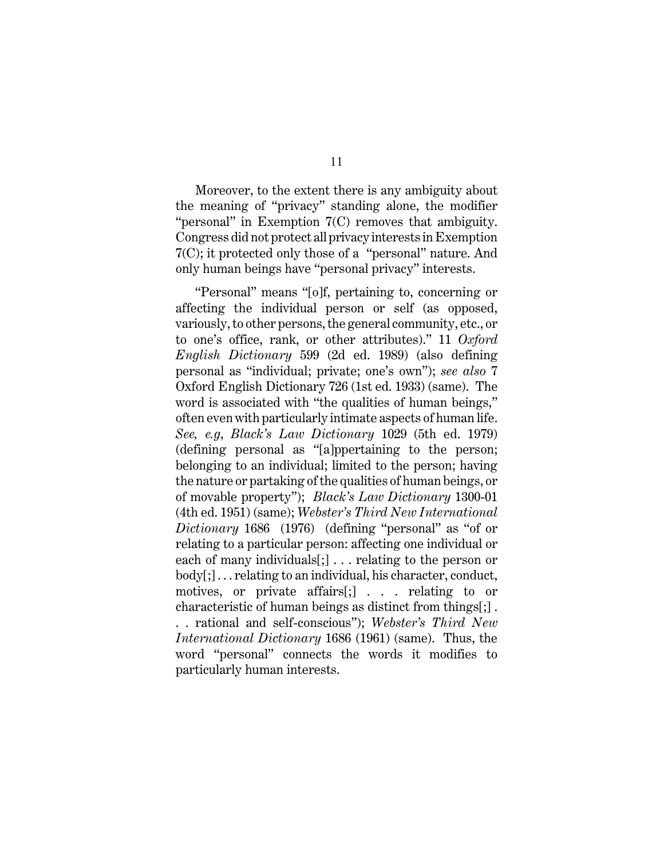Moreover, to the extent there is any ambiguity about the meaning of "privacy" standing alone, the modifier "personal" in Exemption 7(C) removes that ambiguity. Congress did not protect all privacy interests in Exemption 7(C); it protected only those of a "personal" nature. And only human beings have "personal privacy" interests.

"Personal" means "[o]f, pertaining to, concerning or affecting the individual person or self (as opposed, variously, to other persons, the general community, etc., or to one's office, rank, or other attributes)." 11 *Oxford English Dictionary* 599 (2d ed. 1989) (also defining personal as "individual; private; one's own"); *see also* 7 Oxford English Dictionary 726 (1st ed. 1933) (same). The word is associated with "the qualities of human beings," often even with particularly intimate aspects of human life. *See, e.g*, *Black's Law Dictionary* 1029 (5th ed. 1979) (defining personal as "[a]ppertaining to the person; belonging to an individual; limited to the person; having the nature or partaking of the qualities of human beings, or of movable property"); *Black's Law Dictionary* 1300-01 (4th ed. 1951) (same); *Webster's Third New International Dictionary* 1686 (1976) (defining "personal" as "of or relating to a particular person: affecting one individual or each of many individuals[;] . . . relating to the person or body[;] . . . relating to an individual, his character, conduct, motives, or private affairs[;] . . . relating to or characteristic of human beings as distinct from things[;] . . . rational and self-conscious"); *Webster's Third New*

*International Dictionary* 1686 (1961) (same). Thus, the word "personal" connects the words it modifies to particularly human interests.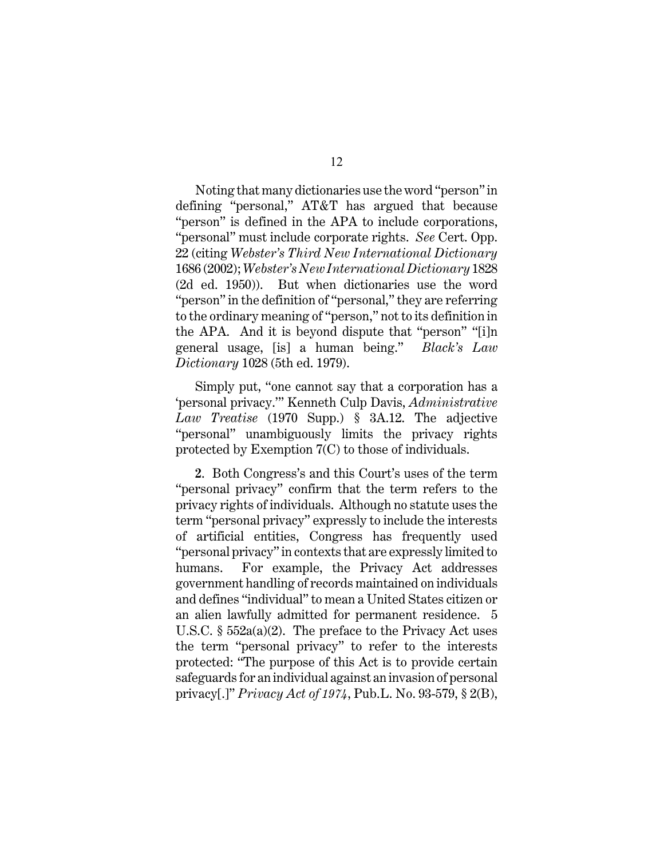Noting that many dictionaries use the word "person" in defining "personal," AT&T has argued that because "person" is defined in the APA to include corporations, "personal" must include corporate rights. *See* Cert. Opp. 22 (citing *Webster's Third New International Dictionary* 1686 (2002); *Webster's New International Dictionary* 1828 (2d ed. 1950)). But when dictionaries use the word "person" in the definition of "personal," they are referring to the ordinary meaning of "person," not to its definition in the APA. And it is beyond dispute that "person" "[i]n general usage, [is] a human being." *Black's Law Dictionary* 1028 (5th ed. 1979).

Simply put, "one cannot say that a corporation has a 'personal privacy.'" Kenneth Culp Davis, *Administrative Law Treatise* (1970 Supp.) § 3A.12. The adjective "personal" unambiguously limits the privacy rights protected by Exemption 7(C) to those of individuals.

**2**. Both Congress's and this Court's uses of the term "personal privacy" confirm that the term refers to the privacy rights of individuals. Although no statute uses the term "personal privacy" expressly to include the interests of artificial entities, Congress has frequently used "personal privacy" in contexts that are expressly limited to humans. For example, the Privacy Act addresses government handling of records maintained on individuals and defines "individual" to mean a United States citizen or an alien lawfully admitted for permanent residence. 5 U.S.C.  $\S$  552a(a)(2). The preface to the Privacy Act uses the term "personal privacy" to refer to the interests protected: "The purpose of this Act is to provide certain safeguards for an individual against an invasion of personal privacy[.]" *Privacy Act of 1974*, Pub.L. No. 93-579, § 2(B),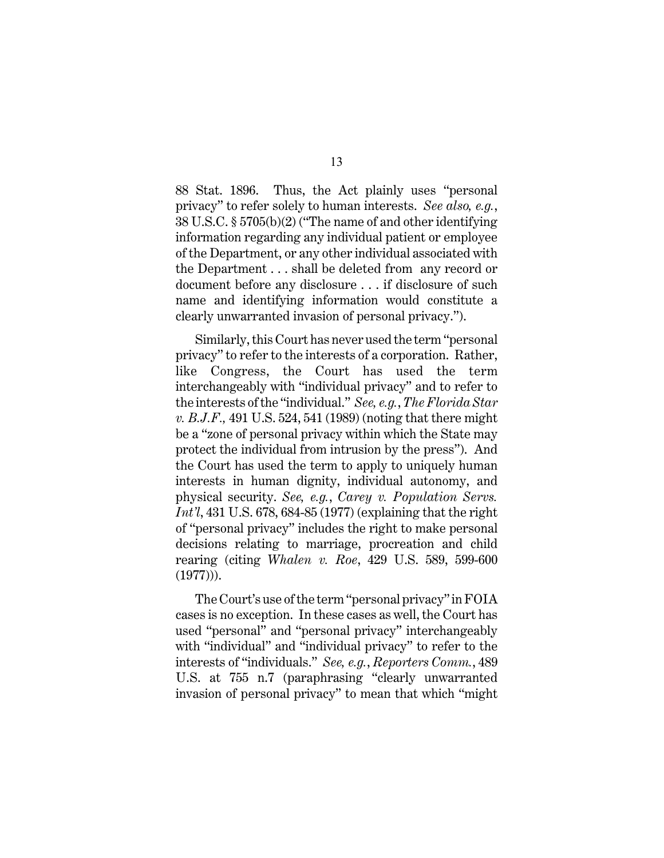88 Stat. 1896. Thus, the Act plainly uses "personal privacy" to refer solely to human interests. *See also, e.g.*, 38 U.S.C. § 5705(b)(2) ("The name of and other identifying information regarding any individual patient or employee of the Department, or any other individual associated with the Department . . . shall be deleted from any record or document before any disclosure . . . if disclosure of such name and identifying information would constitute a clearly unwarranted invasion of personal privacy.").

Similarly, this Court has never used the term "personal privacy" to refer to the interests of a corporation. Rather, like Congress, the Court has used the term interchangeably with "individual privacy" and to refer to the interests of the "individual." *See, e.g.*, *The Florida Star v. B.J.F.,* 491 U.S. 524, 541 (1989) (noting that there might be a "zone of personal privacy within which the State may protect the individual from intrusion by the press"). And the Court has used the term to apply to uniquely human interests in human dignity, individual autonomy, and physical security. *See, e.g.*, *Carey v. Population Servs. Int'l*, 431 U.S. 678, 684-85 (1977) (explaining that the right of "personal privacy" includes the right to make personal decisions relating to marriage, procreation and child rearing (citing *Whalen v. Roe*, 429 U.S. 589, 599-600 (1977))).

The Court's use of the term "personal privacy" in FOIA cases is no exception. In these cases as well, the Court has used "personal" and "personal privacy" interchangeably with "individual" and "individual privacy" to refer to the interests of "individuals." *See, e.g.*, *Reporters Comm.*, 489 U.S. at 755 n.7 (paraphrasing "clearly unwarranted invasion of personal privacy" to mean that which "might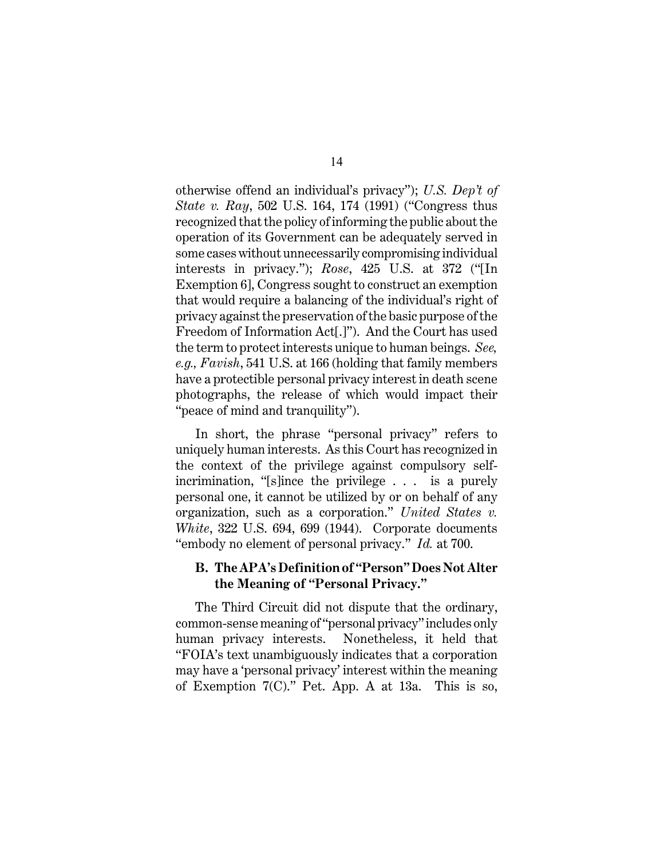otherwise offend an individual's privacy"); *U.S. Dep't of State v. Ray*, 502 U.S. 164, 174 (1991) ("Congress thus recognized that the policy ofinforming the public about the operation of its Government can be adequately served in some cases without unnecessarily compromising individual interests in privacy."); *Rose*, 425 U.S. at 372 ("[In Exemption 6], Congress sought to construct an exemption that would require a balancing of the individual's right of privacy against the preservation of the basic purpose of the Freedom of Information Act[.]"). And the Court has used the term to protect interests unique to human beings. *See, e.g., Favish*, 541 U.S. at 166 (holding that family members have a protectible personal privacy interest in death scene photographs, the release of which would impact their "peace of mind and tranquility").

In short, the phrase "personal privacy" refers to uniquely human interests. As this Court has recognized in the context of the privilege against compulsory selfincrimination, "[s]ince the privilege . . . is a purely personal one, it cannot be utilized by or on behalf of any organization, such as a corporation." *United States v. White*, 322 U.S. 694, 699 (1944). Corporate documents "embody no element of personal privacy." *Id.* at 700.

#### **B. The APA's Definition of "Person" Does Not Alter the Meaning of "Personal Privacy."**

The Third Circuit did not dispute that the ordinary, common-sense meaning of "personal privacy" includes only human privacy interests. Nonetheless, it held that "FOIA's text unambiguously indicates that a corporation may have a 'personal privacy' interest within the meaning of Exemption 7(C)." Pet. App. A at 13a. This is so,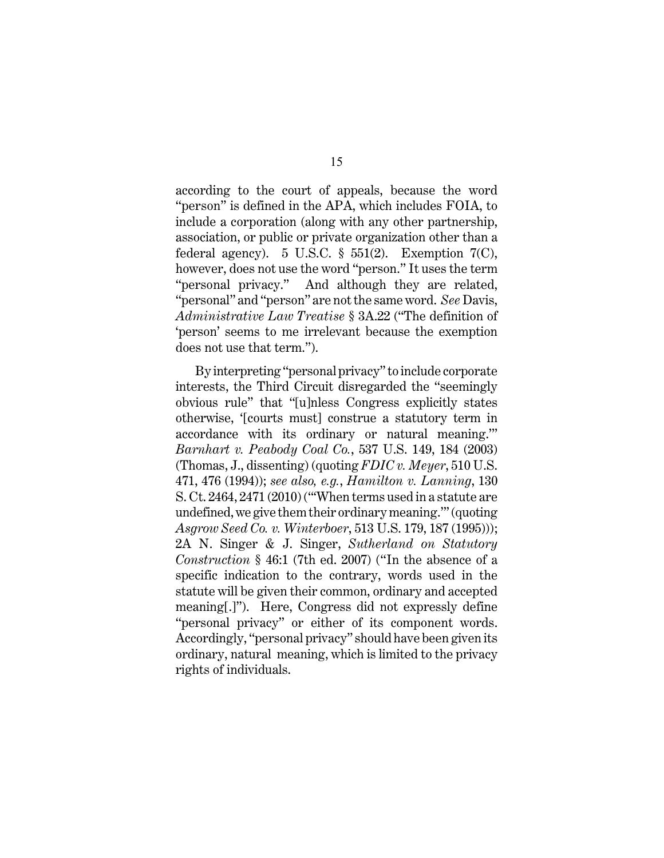according to the court of appeals, because the word "person" is defined in the APA, which includes FOIA, to include a corporation (along with any other partnership, association, or public or private organization other than a federal agency). 5 U.S.C.  $\S$  551(2). Exemption 7(C), however, does not use the word "person." It uses the term "personal privacy." And although they are related, "personal" and "person" are not the same word. *See* Davis, *Administrative Law Treatise* § 3A.22 ("The definition of 'person' seems to me irrelevant because the exemption does not use that term.").

By interpreting "personal privacy" to include corporate interests, the Third Circuit disregarded the "seemingly obvious rule" that "[u]nless Congress explicitly states otherwise, '[courts must] construe a statutory term in accordance with its ordinary or natural meaning.'" *Barnhart v. Peabody Coal Co.*, 537 U.S. 149, 184 (2003) (Thomas, J., dissenting) (quoting *FDIC v. Meyer*, 510 U.S. 471, 476 (1994)); *see also, e.g.*, *Hamilton v. Lanning*, 130 S. Ct. 2464, 2471 (2010) ("'When terms used in a statute are undefined, we give them their ordinary meaning.'" (quoting *Asgrow Seed Co. v. Winterboer*, 513 U.S. 179, 187 (1995))); 2A N. Singer & J. Singer, *Sutherland on Statutory Construction* § 46:1 (7th ed. 2007) ("In the absence of a specific indication to the contrary, words used in the statute will be given their common, ordinary and accepted meaning[.]"). Here, Congress did not expressly define "personal privacy" or either of its component words. Accordingly, "personal privacy" should have been given its ordinary, natural meaning, which is limited to the privacy rights of individuals.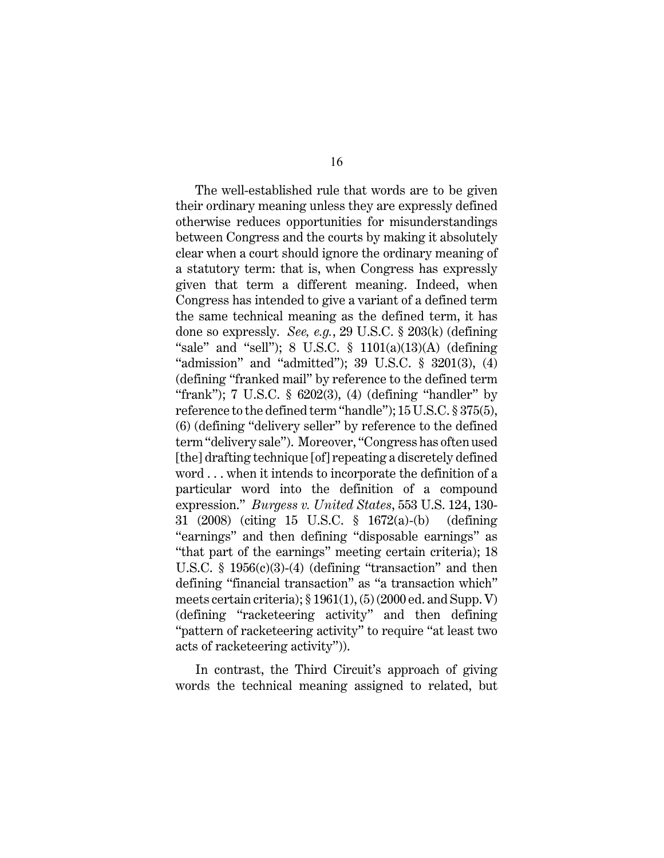The well-established rule that words are to be given their ordinary meaning unless they are expressly defined otherwise reduces opportunities for misunderstandings between Congress and the courts by making it absolutely clear when a court should ignore the ordinary meaning of a statutory term: that is, when Congress has expressly given that term a different meaning. Indeed, when Congress has intended to give a variant of a defined term the same technical meaning as the defined term, it has done so expressly. *See, e.g.*, 29 U.S.C. § 203(k) (defining "sale" and "sell"); 8 U.S.C.  $\S$  1101(a)(13)(A) (defining "admission" and "admitted"); 39 U.S.C. § 3201(3), (4) (defining "franked mail" by reference to the defined term "frank"); 7 U.S.C. § 6202(3), (4) (defining "handler" by reference to the defined term "handle"); 15U.S.C. § 375(5), (6) (defining "delivery seller" by reference to the defined term "delivery sale"). Moreover, "Congress has often used [the] drafting technique [of] repeating a discretely defined word . . . when it intends to incorporate the definition of a particular word into the definition of a compound expression." *Burgess v. United States*, 553 U.S. 124, 130- 31 (2008) (citing 15 U.S.C. § 1672(a)-(b) (defining "earnings" and then defining "disposable earnings" as "that part of the earnings" meeting certain criteria); 18 U.S.C.  $\S$  1956(c)(3)-(4) (defining "transaction" and then defining "financial transaction" as "a transaction which" meets certain criteria);  $\S 1961(1)$ ,  $(5)(2000 \text{ ed.}$  and Supp. V) (defining "racketeering activity" and then defining "pattern of racketeering activity" to require "at least two acts of racketeering activity")).

In contrast, the Third Circuit's approach of giving words the technical meaning assigned to related, but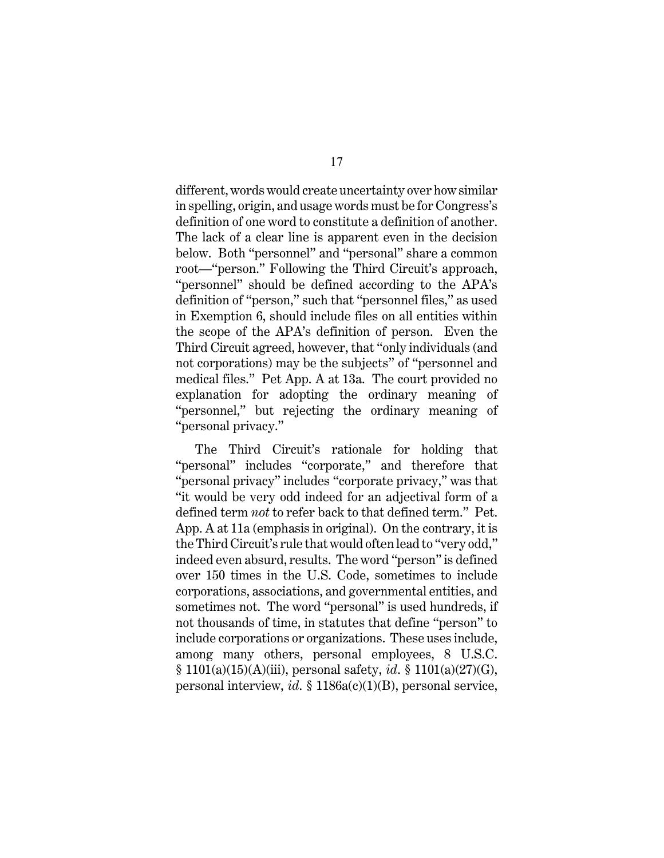different, words would create uncertainty over how similar in spelling, origin, and usage words must be for Congress's definition of one word to constitute a definition of another. The lack of a clear line is apparent even in the decision below. Both "personnel" and "personal" share a common root—"person." Following the Third Circuit's approach, "personnel" should be defined according to the APA's definition of "person," such that "personnel files," as used in Exemption 6, should include files on all entities within the scope of the APA's definition of person. Even the Third Circuit agreed, however, that "only individuals (and not corporations) may be the subjects" of "personnel and medical files." Pet App. A at 13a. The court provided no explanation for adopting the ordinary meaning of "personnel," but rejecting the ordinary meaning of "personal privacy."

The Third Circuit's rationale for holding that "personal" includes "corporate," and therefore that "personal privacy" includes "corporate privacy," was that "it would be very odd indeed for an adjectival form of a defined term *not* to refer back to that defined term." Pet. App. A at 11a (emphasis in original). On the contrary, it is the Third Circuit's rule that would often lead to "very odd," indeed even absurd, results. The word "person" is defined over 150 times in the U.S. Code, sometimes to include corporations, associations, and governmental entities, and sometimes not. The word "personal" is used hundreds, if not thousands of time, in statutes that define "person" to include corporations or organizations. These uses include, among many others, personal employees, 8 U.S.C. § 1101(a)(15)(A)(iii), personal safety, *id*. § 1101(a)(27)(G), personal interview, *id*. § 1186a(c)(1)(B), personal service,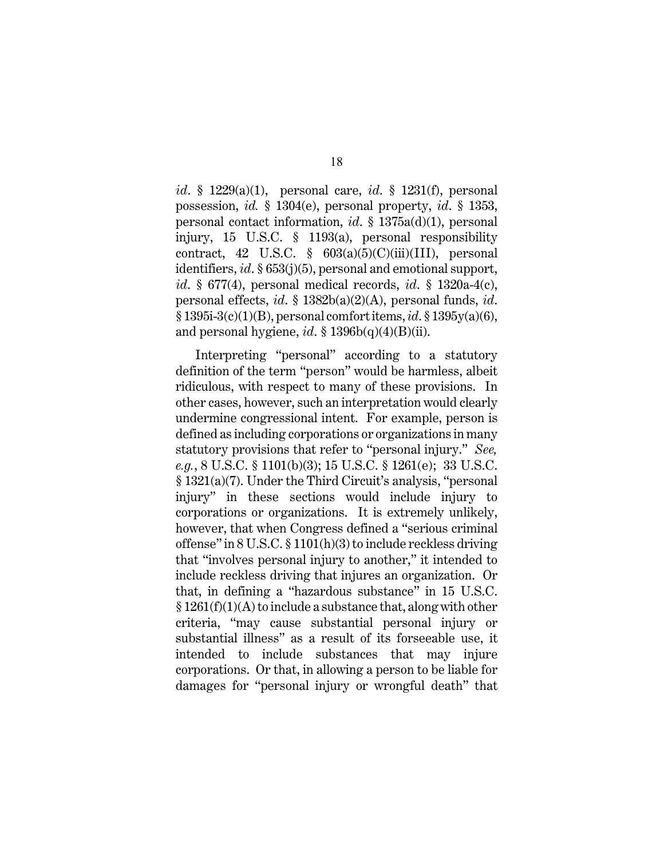*id*. § 1229(a)(1), personal care, *id*. § 1231(f), personal possession, *id.* § 1304(e), personal property, *id*. § 1353, personal contact information, *id*. § 1375a(d)(1), personal injury, 15 U.S.C. § 1193(a), personal responsibility contract, 42 U.S.C.  $\S$  603(a)(5)(C)(iii)(III), personal identifiers, *id*. § 653(j)(5), personal and emotional support, *id*. § 677(4), personal medical records, *id*. § 1320a-4(c), personal effects, *id*. § 1382b(a)(2)(A), personal funds, *id*. § 1395i-3(c)(1)(B), personal comfort items, *id*. § 1395y(a)(6), and personal hygiene,  $id$ . § 1396b(q)(4)(B)(ii).

Interpreting "personal" according to a statutory definition of the term "person" would be harmless, albeit ridiculous, with respect to many of these provisions. In other cases, however, such an interpretation would clearly undermine congressional intent. For example, person is defined as including corporations or organizations in many statutory provisions that refer to "personal injury." *See, e.g.*, 8 U.S.C. § 1101(b)(3); 15 U.S.C. § 1261(e); 33 U.S.C. § 1321(a)(7). Under the Third Circuit's analysis, "personal injury" in these sections would include injury to corporations or organizations. It is extremely unlikely, however, that when Congress defined a "serious criminal offense" in 8 U.S.C. § 1101(h)(3) to include reckless driving that "involves personal injury to another," it intended to include reckless driving that injures an organization. Or that, in defining a "hazardous substance" in 15 U.S.C.  $§ 1261(f)(1)(A)$  to include a substance that, along with other criteria, "may cause substantial personal injury or substantial illness" as a result of its forseeable use, it intended to include substances that may injure corporations. Or that, in allowing a person to be liable for damages for "personal injury or wrongful death" that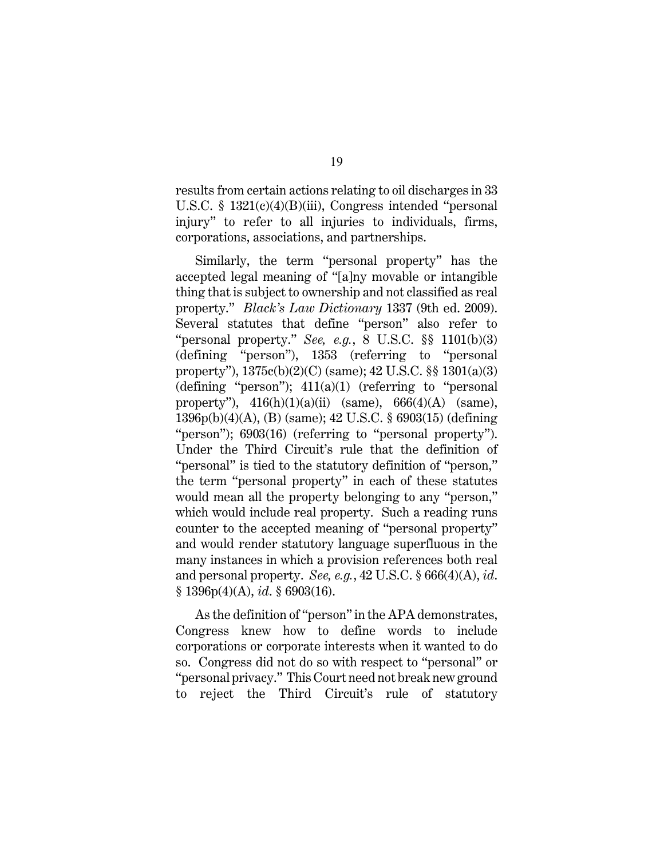results from certain actions relating to oil discharges in 33 U.S.C. § 1321(c)(4)(B)(iii), Congress intended "personal injury" to refer to all injuries to individuals, firms, corporations, associations, and partnerships.

Similarly, the term "personal property" has the accepted legal meaning of "[a]ny movable or intangible thing that is subject to ownership and not classified as real property." *Black's Law Dictionary* 1337 (9th ed. 2009). Several statutes that define "person" also refer to "personal property." *See, e.g.*, 8 U.S.C. §§ 1101(b)(3) (defining "person"), 1353 (referring to "personal property"), 1375c(b)(2)(C) (same); 42 U.S.C. §§ 1301(a)(3) (defining "person");  $411(a)(1)$  (referring to "personal property"),  $416(h)(1)(a)(ii)$  (same),  $666(4)(A)$  (same), 1396p(b)(4)(A), (B) (same); 42 U.S.C. § 6903(15) (defining "person"); 6903(16) (referring to "personal property"). Under the Third Circuit's rule that the definition of "personal" is tied to the statutory definition of "person," the term "personal property" in each of these statutes would mean all the property belonging to any "person," which would include real property. Such a reading runs counter to the accepted meaning of "personal property" and would render statutory language superfluous in the many instances in which a provision references both real and personal property. *See, e.g.*, 42 U.S.C. § 666(4)(A), *id*. § 1396p(4)(A), *id*. § 6903(16).

As the definition of "person" in the APA demonstrates, Congress knew how to define words to include corporations or corporate interests when it wanted to do so. Congress did not do so with respect to "personal" or "personal privacy." This Court need not break new ground to reject the Third Circuit's rule of statutory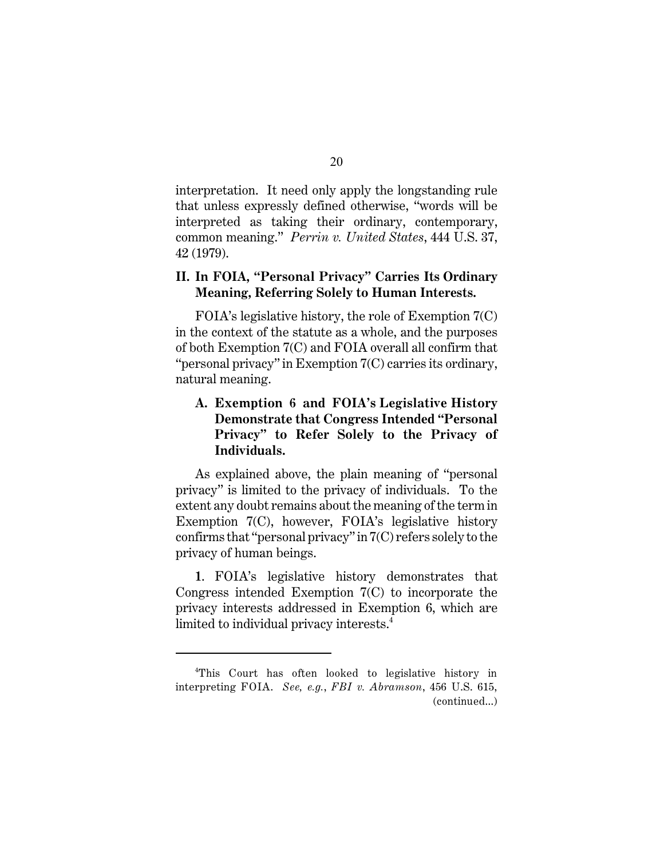interpretation. It need only apply the longstanding rule that unless expressly defined otherwise, "words will be interpreted as taking their ordinary, contemporary, common meaning." *Perrin v. United States*, 444 U.S. 37, 42 (1979).

## **II. In FOIA, "Personal Privacy" Carries Its Ordinary Meaning, Referring Solely to Human Interests.**

FOIA's legislative history, the role of Exemption 7(C) in the context of the statute as a whole, and the purposes of both Exemption 7(C) and FOIA overall all confirm that "personal privacy" in Exemption 7(C) carries its ordinary, natural meaning.

## **A. Exemption 6 and FOIA's Legislative History Demonstrate that Congress Intended "Personal Privacy" to Refer Solely to the Privacy of Individuals.**

As explained above, the plain meaning of "personal privacy" is limited to the privacy of individuals. To the extent any doubt remains about the meaning of the term in Exemption 7(C), however, FOIA's legislative history confirms that "personal privacy" in 7(C) refers solely to the privacy of human beings.

**1**. FOIA's legislative history demonstrates that Congress intended Exemption 7(C) to incorporate the privacy interests addressed in Exemption 6, which are limited to individual privacy interests.<sup>4</sup>

<sup>&</sup>lt;sup>4</sup>This Court has often looked to legislative history in interpreting FOIA. *See, e.g.*, *FBI v. Abramson*, 456 U.S. 615, (continued...)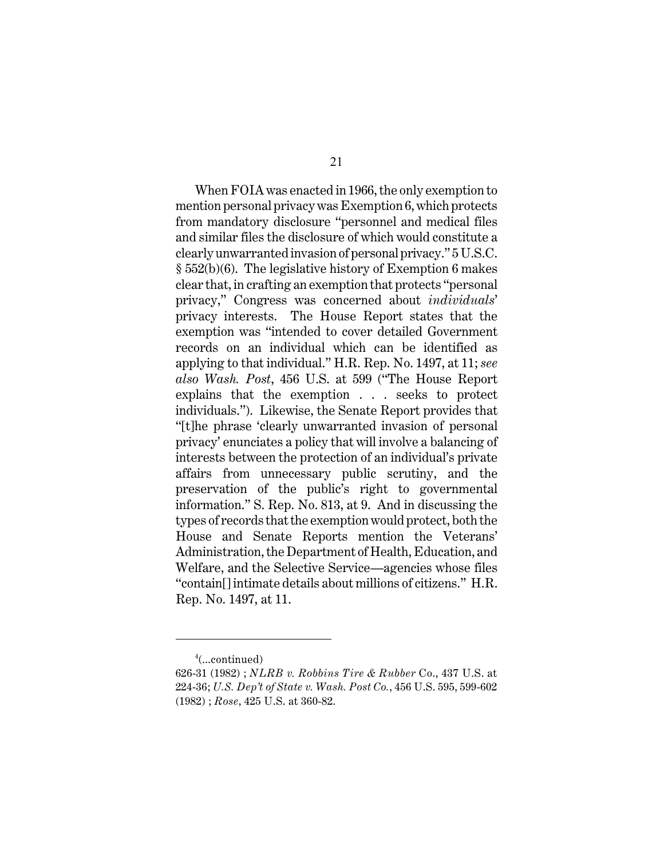When FOIA was enacted in 1966, the only exemption to mention personal privacy was Exemption 6, which protects from mandatory disclosure "personnel and medical files and similar files the disclosure of which would constitute a clearly unwarranted invasion of personal privacy." 5 U.S.C. § 552(b)(6). The legislative history of Exemption 6 makes clear that, in crafting an exemption that protects "personal privacy," Congress was concerned about *individuals*' privacy interests. The House Report states that the exemption was "intended to cover detailed Government records on an individual which can be identified as applying to that individual." H.R. Rep. No. 1497, at 11; *see also Wash. Post*, 456 U.S. at 599 ("The House Report explains that the exemption . . . seeks to protect individuals."). Likewise, the Senate Report provides that "[t]he phrase 'clearly unwarranted invasion of personal privacy' enunciates a policy that will involve a balancing of interests between the protection of an individual's private affairs from unnecessary public scrutiny, and the preservation of the public's right to governmental information." S. Rep. No. 813, at 9. And in discussing the types of records that the exemption would protect, both the House and Senate Reports mention the Veterans' Administration, the Department of Health, Education, and Welfare, and the Selective Service—agencies whose files "contain[] intimate details about millions of citizens." H.R. Rep. No. 1497, at 11.

 $4$ (...continued)

<sup>626-31 (1982) ;</sup> *NLRB v. Robbins Tire & Rubber* Co., 437 U.S. at 224-36; *U.S. Dep't of State v. Wash. Post Co.*, 456 U.S. 595, 599-602 (1982) ; *Rose*, 425 U.S. at 360-82.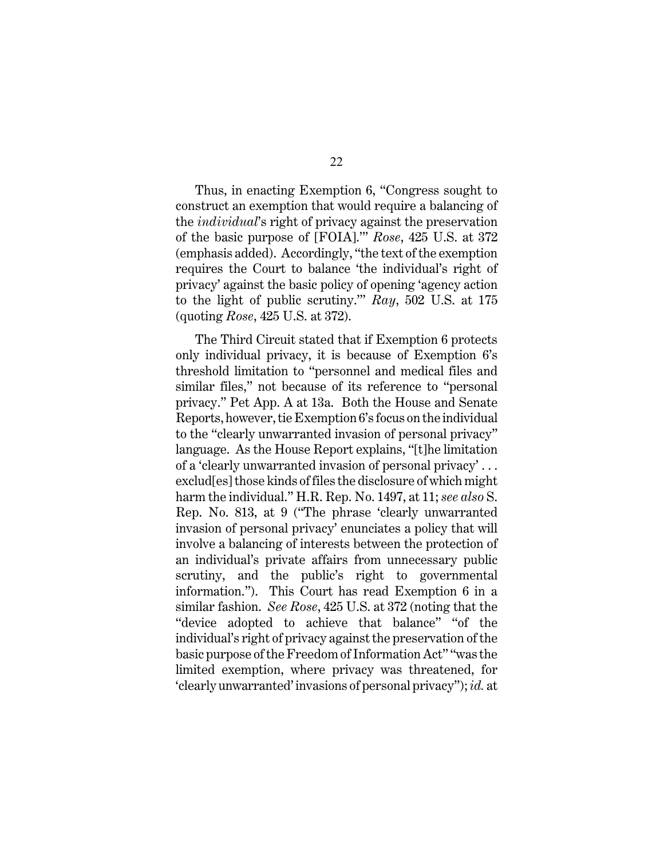Thus, in enacting Exemption 6, "Congress sought to construct an exemption that would require a balancing of the *individual*'s right of privacy against the preservation of the basic purpose of [FOIA].'" *Rose*, 425 U.S. at 372 (emphasis added). Accordingly, "the text of the exemption requires the Court to balance 'the individual's right of privacy' against the basic policy of opening 'agency action to the light of public scrutiny.'" *Ray*, 502 U.S. at 175 (quoting *Rose*, 425 U.S. at 372).

The Third Circuit stated that if Exemption 6 protects only individual privacy, it is because of Exemption 6's threshold limitation to "personnel and medical files and similar files," not because of its reference to "personal privacy." Pet App. A at 13a. Both the House and Senate Reports, however, tie Exemption 6's focus on the individual to the "clearly unwarranted invasion of personal privacy" language. As the House Report explains, "[t]he limitation of a 'clearly unwarranted invasion of personal privacy' . . . exclud[es] those kinds of files the disclosure of which might harm the individual." H.R. Rep. No. 1497, at 11; *see also* S. Rep. No. 813, at 9 ("The phrase 'clearly unwarranted invasion of personal privacy' enunciates a policy that will involve a balancing of interests between the protection of an individual's private affairs from unnecessary public scrutiny, and the public's right to governmental information."). This Court has read Exemption 6 in a similar fashion. *See Rose*, 425 U.S. at 372 (noting that the "device adopted to achieve that balance" "of the individual's right of privacy against the preservation of the basic purpose of the Freedom of Information Act" "was the limited exemption, where privacy was threatened, for 'clearly unwarranted' invasions of personal privacy"); *id.* at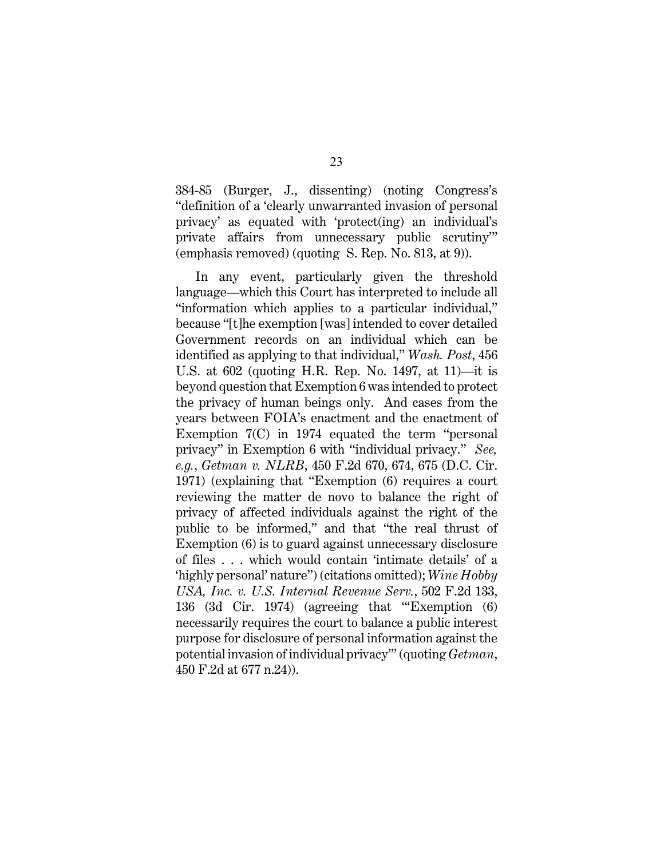384-85 (Burger, J., dissenting) (noting Congress's "definition of a 'clearly unwarranted invasion of personal privacy' as equated with 'protect(ing) an individual's private affairs from unnecessary public scrutiny'" (emphasis removed) (quoting S. Rep. No. 813, at 9)).

In any event, particularly given the threshold language—which this Court has interpreted to include all "information which applies to a particular individual," because "[t]he exemption [was] intended to cover detailed Government records on an individual which can be identified as applying to that individual," *Wash. Post*, 456 U.S. at 602 (quoting H.R. Rep. No. 1497, at 11)—it is beyond question that Exemption 6 was intended to protect the privacy of human beings only. And cases from the years between FOIA's enactment and the enactment of Exemption 7(C) in 1974 equated the term "personal privacy" in Exemption 6 with "individual privacy." *See, e.g.*, *Getman v. NLRB*, 450 F.2d 670, 674, 675 (D.C. Cir. 1971) (explaining that "Exemption (6) requires a court reviewing the matter de novo to balance the right of privacy of affected individuals against the right of the public to be informed," and that "the real thrust of Exemption (6) is to guard against unnecessary disclosure of files . . . which would contain 'intimate details' of a 'highly personal' nature") (citations omitted); *Wine Hobby USA, Inc. v. U.S. Internal Revenue Serv.*, 502 F.2d 133, 136 (3d Cir. 1974) (agreeing that "'Exemption (6) necessarily requires the court to balance a public interest purpose for disclosure of personal information against the potential invasion of individual privacy'" (quoting *Getman*, 450 F.2d at 677 n.24)).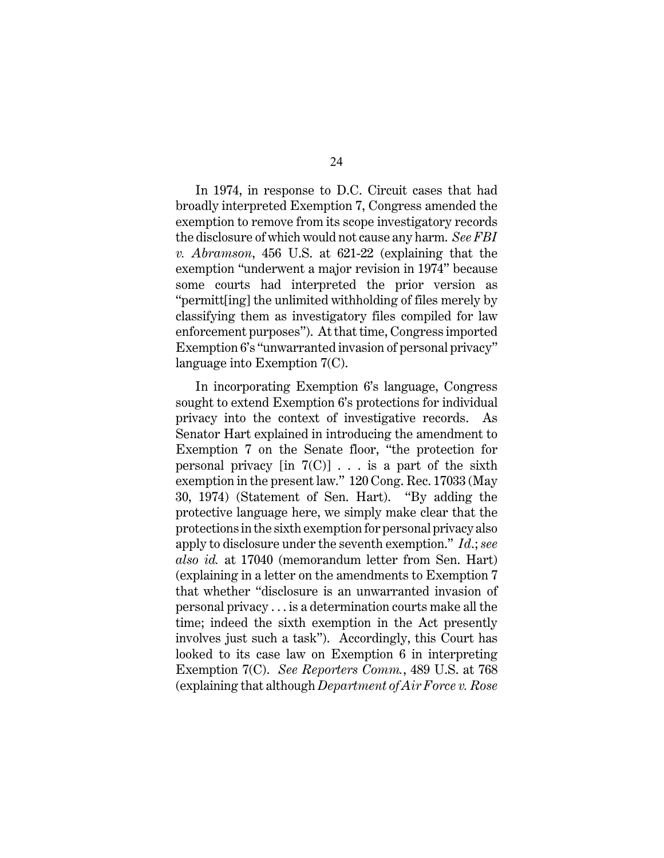In 1974, in response to D.C. Circuit cases that had broadly interpreted Exemption 7, Congress amended the exemption to remove from its scope investigatory records the disclosure of which would not cause any harm. *See FBI v. Abramson*, 456 U.S. at 621-22 (explaining that the exemption "underwent a major revision in 1974" because some courts had interpreted the prior version as "permitt[ing] the unlimited withholding of files merely by classifying them as investigatory files compiled for law enforcement purposes"). At that time, Congress imported Exemption 6's "unwarranted invasion of personal privacy" language into Exemption 7(C).

In incorporating Exemption 6's language, Congress sought to extend Exemption 6's protections for individual privacy into the context of investigative records. As Senator Hart explained in introducing the amendment to Exemption 7 on the Senate floor, "the protection for personal privacy  $\lceil \text{in } 7(\text{C}) \rceil$ ... is a part of the sixth exemption in the present law." 120 Cong. Rec. 17033 (May 30, 1974) (Statement of Sen. Hart). "By adding the protective language here, we simply make clear that the protections in the sixth exemption for personal privacy also apply to disclosure under the seventh exemption." *Id*.; *see also id.* at 17040 (memorandum letter from Sen. Hart) (explaining in a letter on the amendments to Exemption 7 that whether "disclosure is an unwarranted invasion of personal privacy . . . is a determination courts make all the time; indeed the sixth exemption in the Act presently involves just such a task"). Accordingly, this Court has looked to its case law on Exemption 6 in interpreting Exemption 7(C). *See Reporters Comm.*, 489 U.S. at 768 (explaining that although *Department of Air Force v. Rose*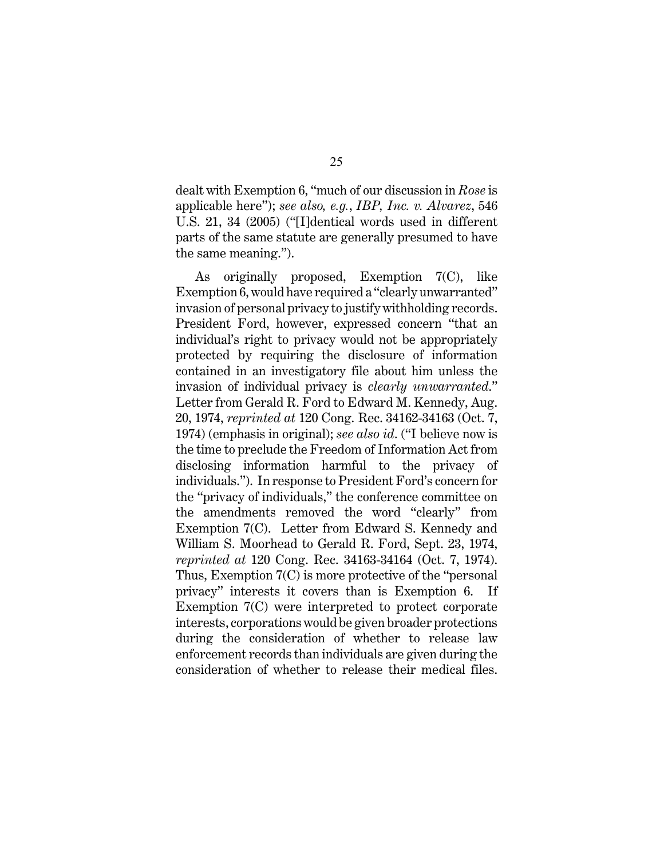dealt with Exemption 6, "much of our discussion in *Rose* is applicable here"); *see also, e.g.*, *IBP, Inc. v. Alvarez*, 546 U.S. 21, 34 (2005) ("[I]dentical words used in different parts of the same statute are generally presumed to have the same meaning.").

As originally proposed, Exemption 7(C), like Exemption 6, would have required a "clearly unwarranted" invasion of personal privacy to justify withholding records. President Ford, however, expressed concern "that an individual's right to privacy would not be appropriately protected by requiring the disclosure of information contained in an investigatory file about him unless the invasion of individual privacy is *clearly unwarranted*." Letter from Gerald R. Ford to Edward M. Kennedy, Aug. 20, 1974, *reprinted at* 120 Cong. Rec. 34162-34163 (Oct. 7, 1974) (emphasis in original); *see also id*. ("I believe now is the time to preclude the Freedom of Information Act from disclosing information harmful to the privacy of individuals."). In response to President Ford's concern for the "privacy of individuals," the conference committee on the amendments removed the word "clearly" from Exemption 7(C). Letter from Edward S. Kennedy and William S. Moorhead to Gerald R. Ford, Sept. 23, 1974, *reprinted at* 120 Cong. Rec. 34163-34164 (Oct. 7, 1974). Thus, Exemption 7(C) is more protective of the "personal privacy" interests it covers than is Exemption 6. If Exemption 7(C) were interpreted to protect corporate interests, corporations would be given broader protections during the consideration of whether to release law enforcement records than individuals are given during the consideration of whether to release their medical files.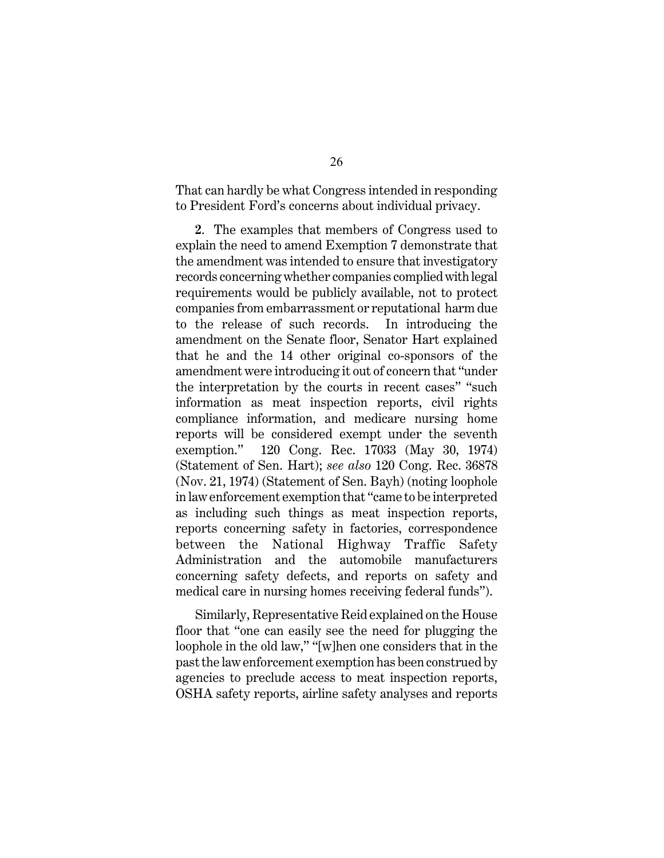That can hardly be what Congress intended in responding to President Ford's concerns about individual privacy.

**2**. The examples that members of Congress used to explain the need to amend Exemption 7 demonstrate that the amendment was intended to ensure that investigatory records concerning whether companies complied with legal requirements would be publicly available, not to protect companies from embarrassment or reputational harm due to the release of such records. In introducing the amendment on the Senate floor, Senator Hart explained that he and the 14 other original co-sponsors of the amendment were introducing it out of concern that "under the interpretation by the courts in recent cases" "such information as meat inspection reports, civil rights compliance information, and medicare nursing home reports will be considered exempt under the seventh exemption." 120 Cong. Rec. 17033 (May 30, 1974) (Statement of Sen. Hart); *see also* 120 Cong. Rec. 36878 (Nov. 21, 1974) (Statement of Sen. Bayh) (noting loophole in law enforcement exemption that "came to be interpreted as including such things as meat inspection reports, reports concerning safety in factories, correspondence between the National Highway Traffic Safety Administration and the automobile manufacturers concerning safety defects, and reports on safety and medical care in nursing homes receiving federal funds").

Similarly, Representative Reid explained on the House floor that "one can easily see the need for plugging the loophole in the old law," "[w]hen one considers that in the past the law enforcement exemption has been construed by agencies to preclude access to meat inspection reports, OSHA safety reports, airline safety analyses and reports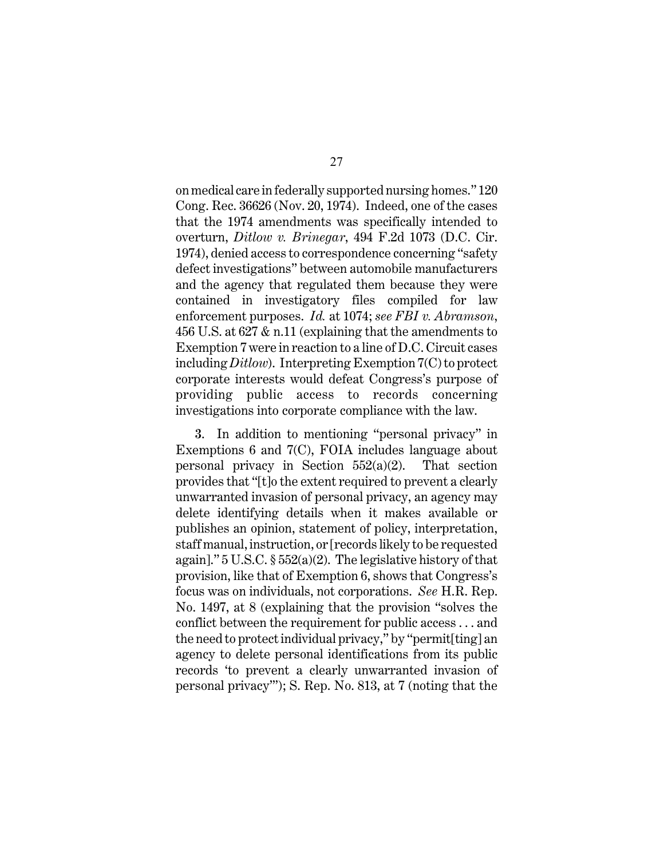on medical care in federally supported nursing homes." 120 Cong. Rec. 36626 (Nov. 20, 1974). Indeed, one of the cases that the 1974 amendments was specifically intended to overturn, *Ditlow v. Brinegar*, 494 F.2d 1073 (D.C. Cir. 1974), denied access to correspondence concerning "safety defect investigations" between automobile manufacturers and the agency that regulated them because they were contained in investigatory files compiled for law enforcement purposes. *Id.* at 1074; *see FBI v. Abramson*, 456 U.S. at 627 & n.11 (explaining that the amendments to Exemption 7 were in reaction to a line of D.C. Circuit cases including *Ditlow*). Interpreting Exemption 7(C) to protect corporate interests would defeat Congress's purpose of providing public access to records concerning investigations into corporate compliance with the law.

**3**. In addition to mentioning "personal privacy" in Exemptions 6 and 7(C), FOIA includes language about personal privacy in Section 552(a)(2). That section provides that "[t]o the extent required to prevent a clearly unwarranted invasion of personal privacy, an agency may delete identifying details when it makes available or publishes an opinion, statement of policy, interpretation, staff manual, instruction, or [records likely to be requested again]."  $5 \text{ U.S.C.}$   $\S 552(a)(2)$ . The legislative history of that provision, like that of Exemption 6, shows that Congress's focus was on individuals, not corporations. *See* H.R. Rep. No. 1497, at 8 (explaining that the provision "solves the conflict between the requirement for public access . . . and the need to protect individual privacy," by "permit[ting] an agency to delete personal identifications from its public records 'to prevent a clearly unwarranted invasion of personal privacy'"); S. Rep. No. 813, at 7 (noting that the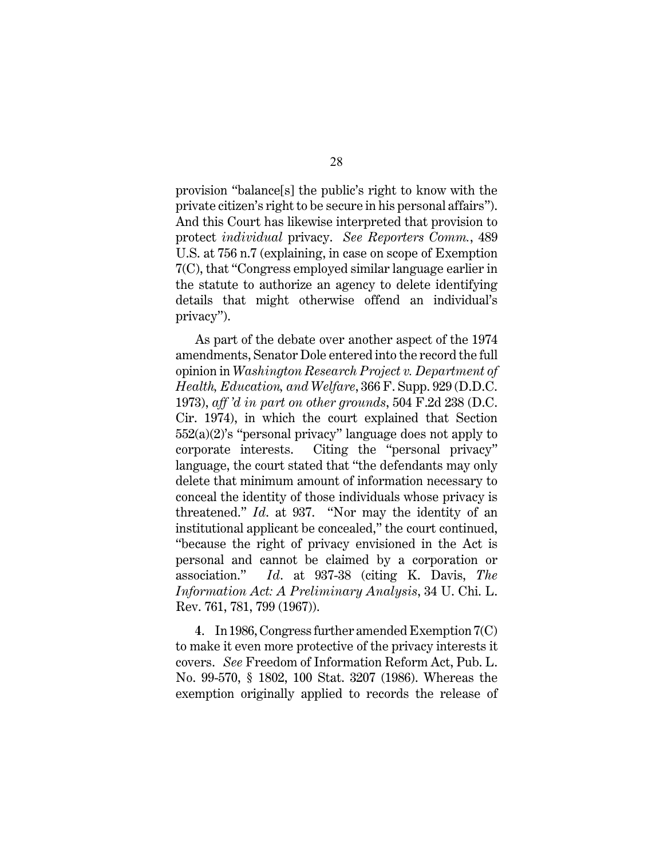provision "balance[s] the public's right to know with the private citizen's right to be secure in his personal affairs"). And this Court has likewise interpreted that provision to protect *individual* privacy. *See Reporters Comm.*, 489 U.S. at 756 n.7 (explaining, in case on scope of Exemption 7(C), that "Congress employed similar language earlier in the statute to authorize an agency to delete identifying details that might otherwise offend an individual's privacy").

As part of the debate over another aspect of the 1974 amendments, Senator Dole entered into the record the full opinion in *Washington Research Project v. Department of Health, Education, and Welfare*, 366 F. Supp. 929 (D.D.C. 1973), *aff 'd in part on other grounds*, 504 F.2d 238 (D.C. Cir. 1974), in which the court explained that Section 552(a)(2)'s "personal privacy" language does not apply to corporate interests. Citing the "personal privacy" language, the court stated that "the defendants may only delete that minimum amount of information necessary to conceal the identity of those individuals whose privacy is threatened." *Id*. at 937. "Nor may the identity of an institutional applicant be concealed," the court continued, "because the right of privacy envisioned in the Act is personal and cannot be claimed by a corporation or association." *Id*. at 937-38 (citing K. Davis, *The Information Act: A Preliminary Analysis*, 34 U. Chi. L. Rev. 761, 781, 799 (1967)).

**4**. In 1986, Congress further amended Exemption 7(C) to make it even more protective of the privacy interests it covers. *See* Freedom of Information Reform Act, Pub. L. No. 99-570, § 1802, 100 Stat. 3207 (1986). Whereas the exemption originally applied to records the release of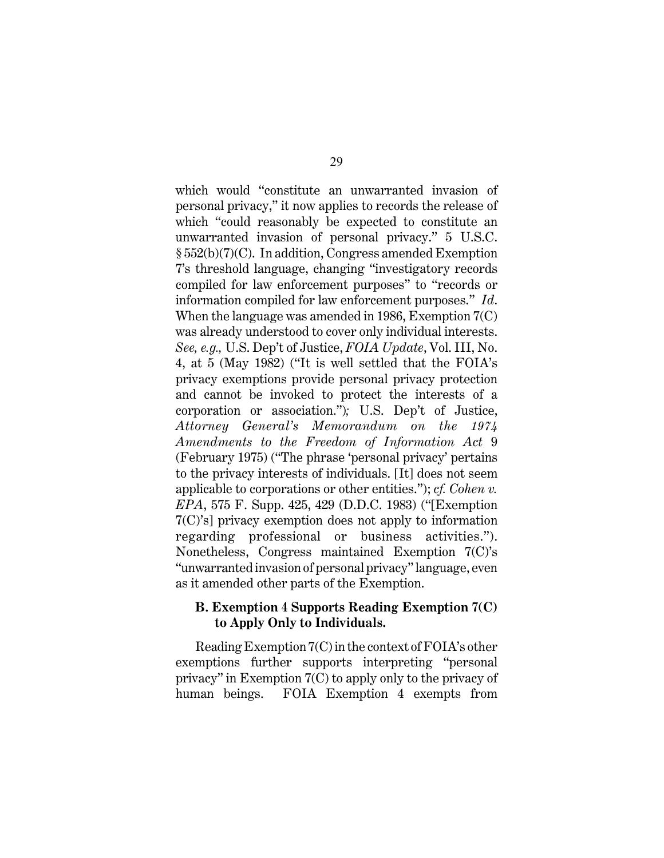which would "constitute an unwarranted invasion of personal privacy," it now applies to records the release of which "could reasonably be expected to constitute an unwarranted invasion of personal privacy." 5 U.S.C. § 552(b)(7)(C). In addition, Congress amended Exemption 7's threshold language, changing "investigatory records compiled for law enforcement purposes" to "records or information compiled for law enforcement purposes." *Id*. When the language was amended in 1986, Exemption 7(C) was already understood to cover only individual interests. *See, e.g.,* U.S. Dep't of Justice, *FOIA Update*, Vol. III, No. 4, at 5 (May 1982) ("It is well settled that the FOIA's privacy exemptions provide personal privacy protection and cannot be invoked to protect the interests of a corporation or association.")*;* U.S. Dep't of Justice, *Attorney General's Memorandum on the 1974 Amendments to the Freedom of Information Act* 9 (February 1975) ("The phrase 'personal privacy' pertains to the privacy interests of individuals. [It] does not seem applicable to corporations or other entities."); *cf. Cohen v. EPA*, 575 F. Supp. 425, 429 (D.D.C. 1983) ("[Exemption 7(C)'s] privacy exemption does not apply to information regarding professional or business activities."). Nonetheless, Congress maintained Exemption 7(C)'s "unwarranted invasion of personal privacy" language, even as it amended other parts of the Exemption.

#### **B. Exemption 4 Supports Reading Exemption 7(C) to Apply Only to Individuals.**

Reading Exemption 7(C) in the context of FOIA's other exemptions further supports interpreting "personal privacy" in Exemption 7(C) to apply only to the privacy of human beings. FOIA Exemption 4 exempts from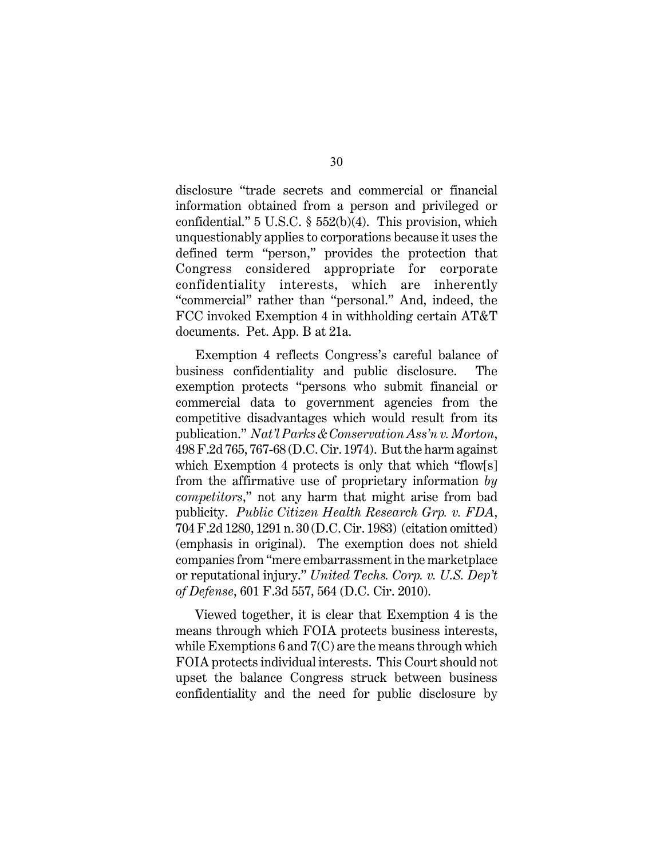disclosure "trade secrets and commercial or financial information obtained from a person and privileged or confidential." 5 U.S.C. § 552(b)(4). This provision, which unquestionably applies to corporations because it uses the defined term "person," provides the protection that Congress considered appropriate for corporate confidentiality interests, which are inherently "commercial" rather than "personal." And, indeed, the FCC invoked Exemption 4 in withholding certain AT&T documents. Pet. App. B at 21a.

Exemption 4 reflects Congress's careful balance of business confidentiality and public disclosure. The exemption protects "persons who submit financial or commercial data to government agencies from the competitive disadvantages which would result from its publication." *Nat'l Parks & Conservation Ass'n v. Morton*, 498 F.2d 765, 767-68 (D.C. Cir. 1974). But the harm against which Exemption 4 protects is only that which "flow[s] from the affirmative use of proprietary information *by competitors*," not any harm that might arise from bad publicity. *Public Citizen Health Research Grp. v. FDA*, 704 F.2d 1280, 1291 n. 30 (D.C. Cir. 1983) (citation omitted) (emphasis in original). The exemption does not shield companies from "mere embarrassment in the marketplace or reputational injury." *United Techs. Corp. v. U.S. Dep't of Defense*, 601 F.3d 557, 564 (D.C. Cir. 2010).

Viewed together, it is clear that Exemption 4 is the means through which FOIA protects business interests, while Exemptions 6 and  $7^{\circ}$  are the means through which FOIA protects individual interests. This Court should not upset the balance Congress struck between business confidentiality and the need for public disclosure by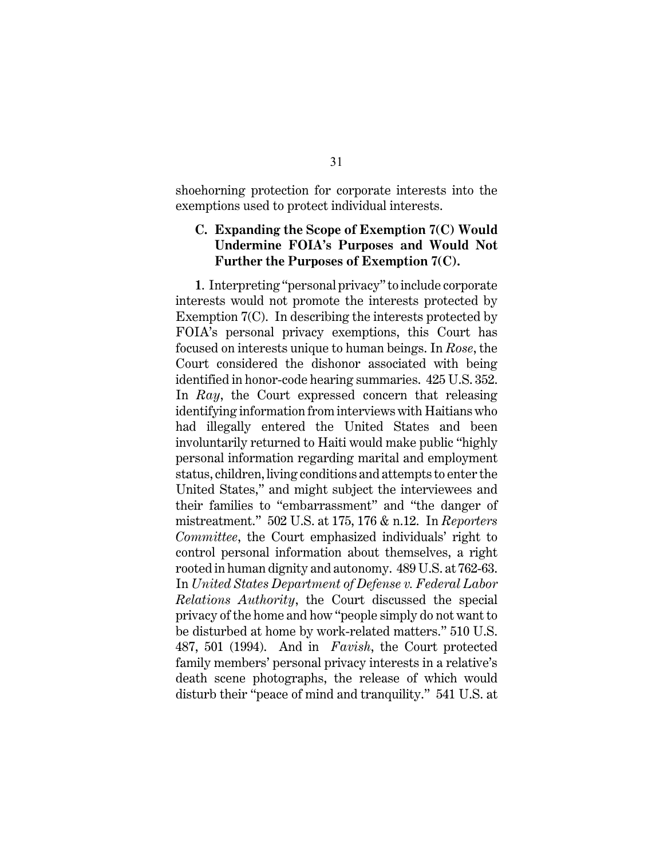shoehorning protection for corporate interests into the exemptions used to protect individual interests.

#### **C. Expanding the Scope of Exemption 7(C) Would Undermine FOIA's Purposes and Would Not Further the Purposes of Exemption 7(C).**

**1**. Interpreting "personal privacy" to include corporate interests would not promote the interests protected by Exemption 7(C). In describing the interests protected by FOIA's personal privacy exemptions, this Court has focused on interests unique to human beings. In *Rose*, the Court considered the dishonor associated with being identified in honor-code hearing summaries. 425 U.S. 352. In *Ray*, the Court expressed concern that releasing identifying information from interviews with Haitians who had illegally entered the United States and been involuntarily returned to Haiti would make public "highly personal information regarding marital and employment status, children, living conditions and attempts to enter the United States," and might subject the interviewees and their families to "embarrassment" and "the danger of mistreatment." 502 U.S. at 175, 176 & n.12. In *Reporters Committee*, the Court emphasized individuals' right to control personal information about themselves, a right rooted in human dignity and autonomy. 489 U.S. at 762-63. In *United States Department of Defense v. Federal Labor Relations Authority*, the Court discussed the special privacy of the home and how "people simply do not want to be disturbed at home by work-related matters." 510 U.S. 487, 501 (1994). And in *Favish*, the Court protected family members' personal privacy interests in a relative's death scene photographs, the release of which would disturb their "peace of mind and tranquility." 541 U.S. at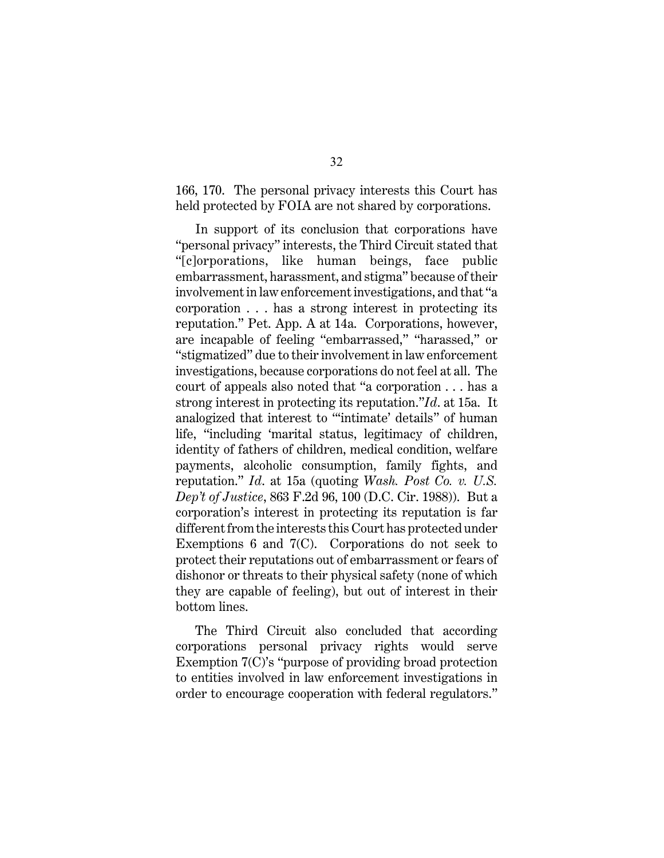166, 170. The personal privacy interests this Court has held protected by FOIA are not shared by corporations.

In support of its conclusion that corporations have "personal privacy" interests, the Third Circuit stated that "[c]orporations, like human beings, face public embarrassment, harassment, and stigma" because of their involvement in law enforcement investigations, and that "a corporation . . . has a strong interest in protecting its reputation." Pet. App. A at 14a. Corporations, however, are incapable of feeling "embarrassed," "harassed," or "stigmatized" due to their involvement in law enforcement investigations, because corporations do not feel at all. The court of appeals also noted that "a corporation . . . has a strong interest in protecting its reputation."*Id*. at 15a. It analogized that interest to "'intimate' details" of human life, "including 'marital status, legitimacy of children, identity of fathers of children, medical condition, welfare payments, alcoholic consumption, family fights, and reputation." *Id*. at 15a (quoting *Wash. Post Co. v. U.S. Dep't of Justice*, 863 F.2d 96, 100 (D.C. Cir. 1988)). But a corporation's interest in protecting its reputation is far different from the interests this Court has protected under Exemptions 6 and 7(C). Corporations do not seek to protect their reputations out of embarrassment or fears of dishonor or threats to their physical safety (none of which they are capable of feeling), but out of interest in their bottom lines.

The Third Circuit also concluded that according corporations personal privacy rights would serve Exemption 7(C)'s "purpose of providing broad protection to entities involved in law enforcement investigations in order to encourage cooperation with federal regulators."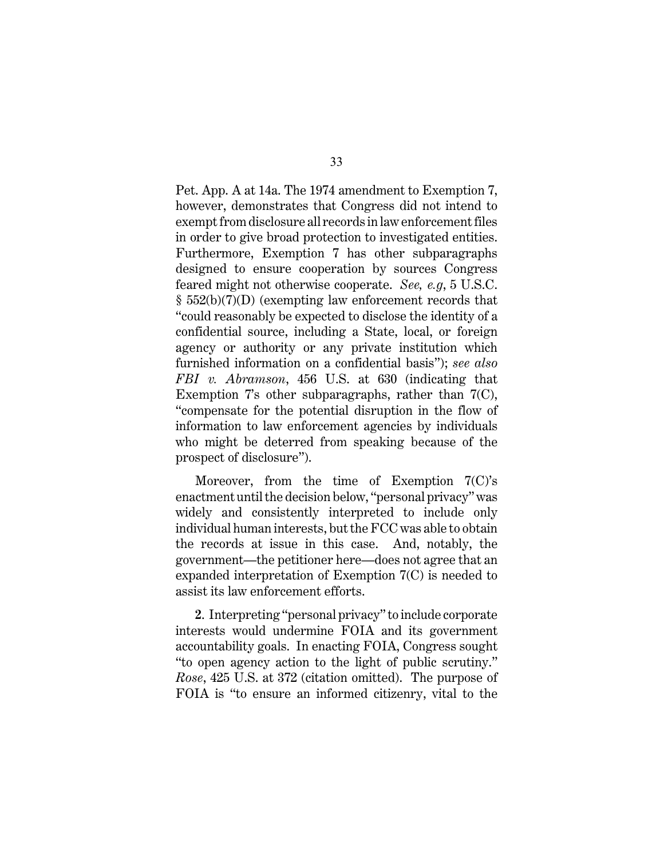Pet. App. A at 14a. The 1974 amendment to Exemption 7, however, demonstrates that Congress did not intend to exempt from disclosure all records in law enforcement files in order to give broad protection to investigated entities. Furthermore, Exemption 7 has other subparagraphs designed to ensure cooperation by sources Congress feared might not otherwise cooperate. *See, e.g*, 5 U.S.C. § 552(b)(7)(D) (exempting law enforcement records that "could reasonably be expected to disclose the identity of a confidential source, including a State, local, or foreign agency or authority or any private institution which furnished information on a confidential basis"); *see also FBI v. Abramson*, 456 U.S. at 630 (indicating that Exemption 7's other subparagraphs, rather than 7(C), "compensate for the potential disruption in the flow of information to law enforcement agencies by individuals who might be deterred from speaking because of the prospect of disclosure").

Moreover, from the time of Exemption 7(C)'s enactment until the decision below, "personal privacy" was widely and consistently interpreted to include only individual human interests, but the FCC was able to obtain the records at issue in this case. And, notably, the government—the petitioner here—does not agree that an expanded interpretation of Exemption 7(C) is needed to assist its law enforcement efforts.

**2**. Interpreting "personal privacy" to include corporate interests would undermine FOIA and its government accountability goals. In enacting FOIA, Congress sought "to open agency action to the light of public scrutiny." *Rose*, 425 U.S. at 372 (citation omitted). The purpose of FOIA is "to ensure an informed citizenry, vital to the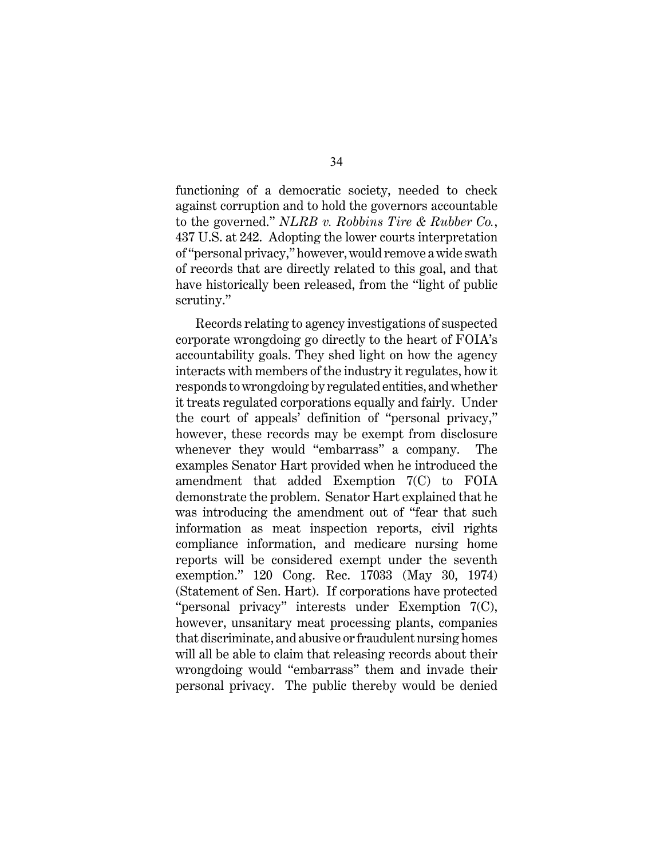functioning of a democratic society, needed to check against corruption and to hold the governors accountable to the governed." *NLRB v. Robbins Tire & Rubber Co.*, 437 U.S. at 242. Adopting the lower courts interpretation of "personal privacy," however, would remove a wide swath of records that are directly related to this goal, and that have historically been released, from the "light of public scrutiny."

Records relating to agency investigations of suspected corporate wrongdoing go directly to the heart of FOIA's accountability goals. They shed light on how the agency interacts with members of the industry it regulates, how it responds to wrongdoing by regulated entities, and whether it treats regulated corporations equally and fairly. Under the court of appeals' definition of "personal privacy," however, these records may be exempt from disclosure whenever they would "embarrass" a company. The examples Senator Hart provided when he introduced the amendment that added Exemption 7(C) to FOIA demonstrate the problem. Senator Hart explained that he was introducing the amendment out of "fear that such information as meat inspection reports, civil rights compliance information, and medicare nursing home reports will be considered exempt under the seventh exemption." 120 Cong. Rec. 17033 (May 30, 1974) (Statement of Sen. Hart). If corporations have protected "personal privacy" interests under Exemption 7(C), however, unsanitary meat processing plants, companies that discriminate, and abusive or fraudulent nursing homes will all be able to claim that releasing records about their wrongdoing would "embarrass" them and invade their personal privacy. The public thereby would be denied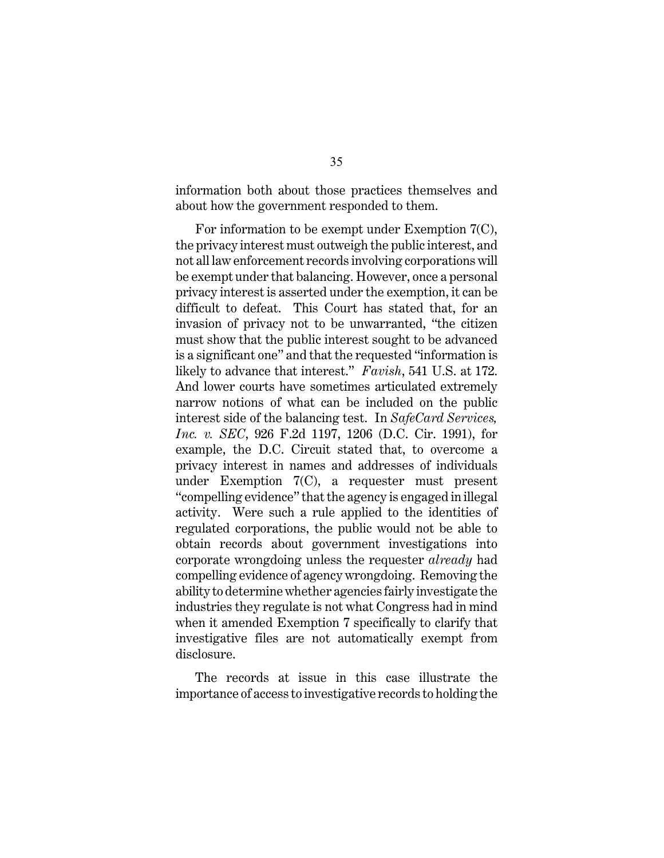information both about those practices themselves and about how the government responded to them.

For information to be exempt under Exemption 7(C), the privacy interest must outweigh the public interest, and not all law enforcement records involving corporations will be exempt under that balancing. However, once a personal privacy interest is asserted under the exemption, it can be difficult to defeat. This Court has stated that, for an invasion of privacy not to be unwarranted, "the citizen must show that the public interest sought to be advanced is a significant one" and that the requested "information is likely to advance that interest." *Favish*, 541 U.S. at 172. And lower courts have sometimes articulated extremely narrow notions of what can be included on the public interest side of the balancing test. In *SafeCard Services, Inc. v. SEC*, 926 F.2d 1197, 1206 (D.C. Cir. 1991), for example, the D.C. Circuit stated that, to overcome a privacy interest in names and addresses of individuals under Exemption 7(C), a requester must present "compelling evidence" that the agency is engaged in illegal activity. Were such a rule applied to the identities of regulated corporations, the public would not be able to obtain records about government investigations into corporate wrongdoing unless the requester *already* had compelling evidence of agency wrongdoing. Removing the ability to determine whether agencies fairly investigate the industries they regulate is not what Congress had in mind when it amended Exemption 7 specifically to clarify that investigative files are not automatically exempt from disclosure.

The records at issue in this case illustrate the importance of access to investigative records to holding the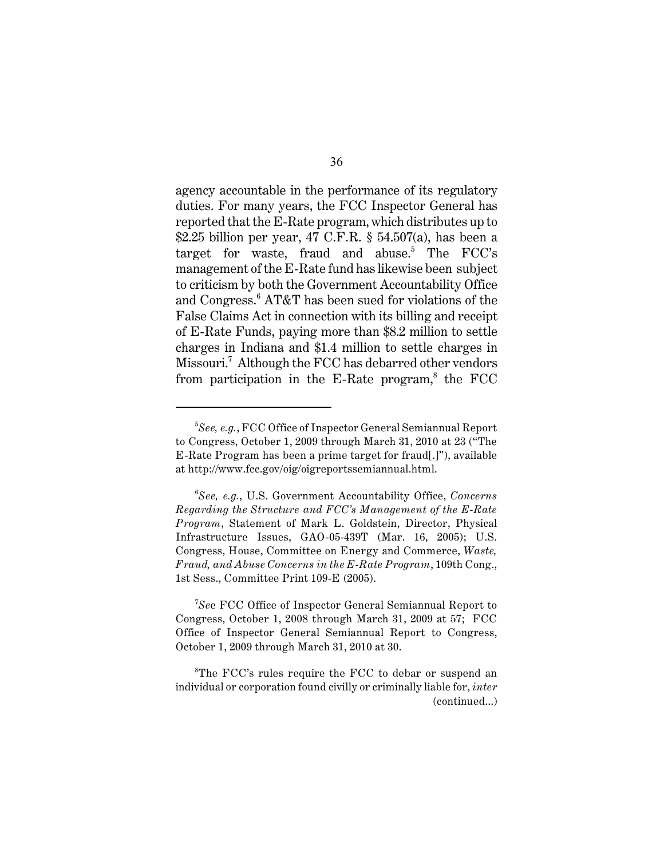agency accountable in the performance of its regulatory duties. For many years, the FCC Inspector General has reported that the E-Rate program, which distributes up to \$2.25 billion per year, 47 C.F.R. § 54.507(a), has been a target for waste, fraud and abuse.<sup>5</sup> The  $\text{FCC's}$ management of the E-Rate fund has likewise been subject to criticism by both the Government Accountability Office and Congress.<sup>6</sup> AT&T has been sued for violations of the False Claims Act in connection with its billing and receipt of E-Rate Funds, paying more than \$8.2 million to settle charges in Indiana and \$1.4 million to settle charges in Missouri.<sup>7</sup> Although the FCC has debarred other vendors from participation in the  $E-Rate$  program,<sup>8</sup> the FCC

<sup>7</sup>See FCC Office of Inspector General Semiannual Report to Congress, October 1, 2008 through March 31, 2009 at 57; FCC Office of Inspector General Semiannual Report to Congress, October 1, 2009 through March 31, 2010 at 30.

 ${}^8$ The FCC's rules require the FCC to debar or suspend an individual or corporation found civilly or criminally liable for, *inter* (continued...)

*See, e.g.*, FCC Office of Inspector General Semiannual Report 5 to Congress, October 1, 2009 through March 31, 2010 at 23 ("The E-Rate Program has been a prime target for fraud[.]"), available at http://www.fcc.gov/oig/oigreportssemiannual.html.

*See, e.g.*, U.S. Government Accountability Office, *Concerns* <sup>6</sup> *Regarding the Structure and FCC's Management of the E-Rate Program*, Statement of Mark L. Goldstein, Director, Physical Infrastructure Issues, GAO-05-439T (Mar. 16, 2005); U.S. Congress, House, Committee on Energy and Commerce, *Waste, Fraud, and Abuse Concerns in the E-Rate Program*, 109th Cong., 1st Sess., Committee Print 109-E (2005).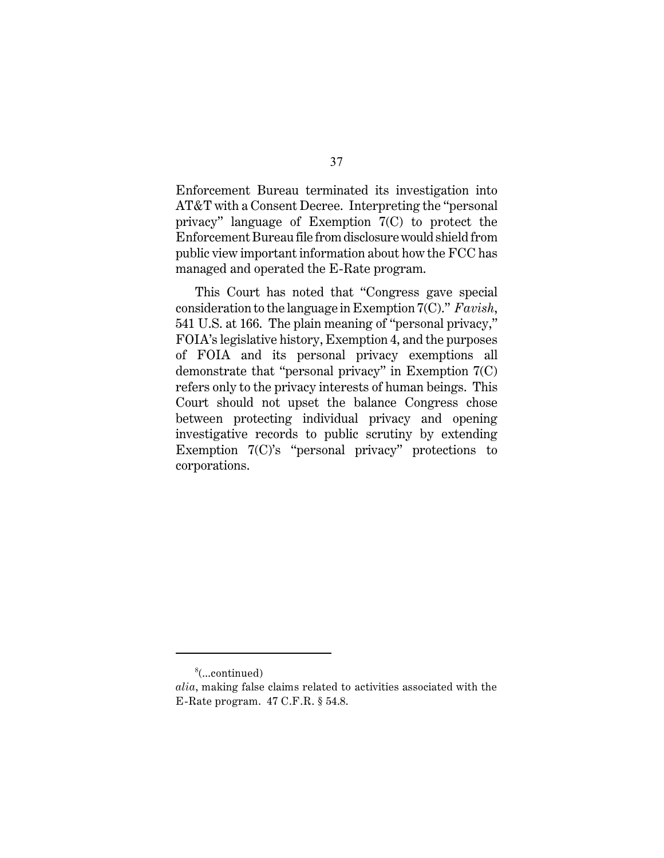Enforcement Bureau terminated its investigation into AT&T with a Consent Decree. Interpreting the "personal privacy" language of Exemption 7(C) to protect the Enforcement Bureau file from disclosure would shield from public view important information about how the FCC has managed and operated the E-Rate program.

This Court has noted that "Congress gave special consideration to the language in Exemption 7(C)." *Favish*, 541 U.S. at 166. The plain meaning of "personal privacy," FOIA's legislative history, Exemption 4, and the purposes of FOIA and its personal privacy exemptions all demonstrate that "personal privacy" in Exemption 7(C) refers only to the privacy interests of human beings.This Court should not upset the balance Congress chose between protecting individual privacy and opening investigative records to public scrutiny by extending Exemption 7(C)'s "personal privacy" protections to corporations.

 $\delta$ (...continued)

*alia*, making false claims related to activities associated with the E-Rate program. 47 C.F.R. § 54.8.